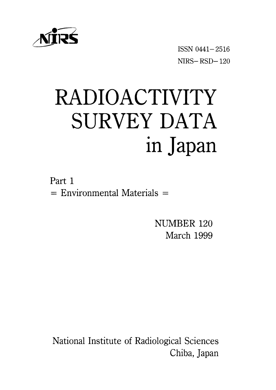

ISSNO441-2516 NIRS-RSD-120

# RADIOACTIVITY SURVEY DATA in Japan

Part 1  $=$  Environmental Materials  $=$ 

> NUMBER 120 March 1999

National Institute of Radiological Sciences Chiba, Japan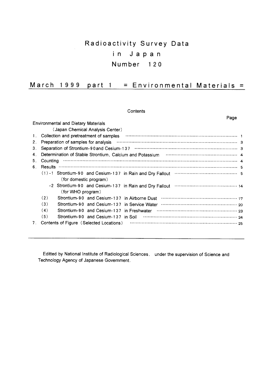## Radioactivity Survey Data in Japan Number 120

#### March 1999 part  $1 =$  Environmental Materials =

Contents

|    | Page                                                                                                                                    |  |
|----|-----------------------------------------------------------------------------------------------------------------------------------------|--|
|    | <b>Environmental and Dietary Materials</b>                                                                                              |  |
|    | (Japan Chemical Analysis Center)                                                                                                        |  |
| 1. | Collection and pretreatment of samples                                                                                                  |  |
| 2. | Preparation of samples for analysis                                                                                                     |  |
| 3. |                                                                                                                                         |  |
| 4. | Determination of Stable Strontium, Calcium and Potassium matches contain the control of Atable Strontium, Calcium and Potassium matches |  |
| 5. | Counting                                                                                                                                |  |
| 6. |                                                                                                                                         |  |
|    | $(1)$ -1 Strontium-90 and Cesium-137 in Rain and Dry Fallout $\cdots$ $\cdots$ $\cdots$ $\cdots$ $\cdots$ $\cdots$ $\cdots$ $\cdots$ 5  |  |
|    | (for domestic program)                                                                                                                  |  |
|    |                                                                                                                                         |  |
|    | (for WHO program)                                                                                                                       |  |
|    | (2)                                                                                                                                     |  |
|    | (3)<br>Strontium-90 and Cesium-137 in Service Water                                                                                     |  |
|    | (4)<br>Strontium-90 and Cesium-137 in Freshwater                                                                                        |  |
|    | (5)                                                                                                                                     |  |
| 7. | Contents of Figure (Selected Locations)                                                                                                 |  |

Editted by National Institute of Radiological Sciences, under the supervision of Science and Technology Agency of Japanese Government.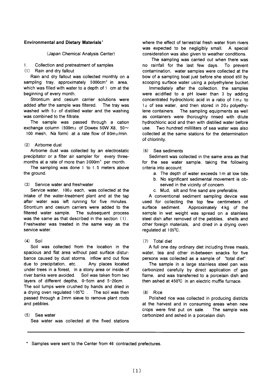#### **Environmental and Dietary Materials'**

(Japan Chemical Analysis Center)

#### Collection and pretreatment of samples  $\mathbf{1}$

 $(1)$ Rain and dry fallout

Rain and dry fallout was collected monthly on a sampling tray, approximately 5000cm<sup>2</sup> in area. which was filled with water to a depth of 1 cm at the beginning of every month.

Strontium and cesium carrier solutions were added after the sample was filtered. The trav was washed with  $5\varrho$  of distilled water and the washing was combined to the filtrate

The sample was passed through a cation exchange column (500m<sub>2</sub> of Dowex 50W X8, 50 $\sim$ 100 mesh. Na form) at a rate flow of 80m<sub>2</sub>/min.

## (2) Airborne dust

Airborne dust was collected by an electrostatic precipitator or a filter air sampler for every threemonths at a rate of more than 3000m<sup>3</sup> per month.

The sampling was done  $1$  to  $1.5$  meters above the around.

## (3) Service water and freshwater

Service water, 100<sub>0</sub> each, was collected at the intake of the water-treatment plant and at the tap after water was left running for five minutes. Strontium and cesium carriers were added to the filtered water sample. The subsequent process was the same as that described in the section (1). Freshwater was treated in the same way as the service water.

## $(4)$  Soil

Soil was collected from the location in the spacious and flat area without past surface disturbance caused by dust storms, inflow and out flow Any places located due to precipitation, etc... under trees in a forest. in a stony area or inside of river banks were avoided. Soil was taken from two layers of different depths, 0-5cm and 5-20cm. The soil lumps were crushed by hands and dried in a drying oven regulated 105°C. The soil was then passed through a 2mm sieve to remove plant roots and pebbles.

## $(5)$  Sea water

Sea water was collected at the fixed stations

where the effect of terrestrial fresh water from rivers was expected to be negligibly small. A special consideration was also given to weather conditions.

The sampling was carried out when there was no rainfall for the last few days. To prevent contamination, water samples were collected at the bow of a sampling boat just before she stood still by scooping surface water using a polyethylene bucket.

Immediately after the collection, the samples were acidified to a pH lower than 3 by adding concentrated hydrochloric acid in a ratio of  $1 \text{ m}_2$  to 1<sub>g</sub> of sea water, and then stored in 20<sub>g</sub> polyethylene containers. The sampling equipments as well as containers were thoroughly rinsed with dilute hydrochloric acid and then with distilled water before use. Two hundred milliliters of sea water was also collected at the same stations for the determination of chlorinity.

## (6) Sea sediments

Sediment was collected in the same area as that for the sea water sample, taking the following criteria into account:

- a. The depth of water exceeds 1m at low tide.
- b. No significant sedimental movement is observed in the vicinity of concern.
- c. Mud. silt and fine sand are preferable.

A conventional sediment sampling device was used for collecting the top few centimeters of surface sediment. Approximately 4 kg of the sample in wet weight was spread on a stainless steel dish after removed of the pebbles, shells and other foreign materials, and dried in a drying oven regulated at 105°C.

#### $(7)$  Total diet

A full one day ordinary diet including three meals, water, tea and other in-between snacks for five persons was collected as a sample of "total diet".

The sample in a large stainless steel pan was carbonized carefully by direct application of gas flame, and was transferred to a porcelain dish and then ashed at 450°C in an electric muffle furnace.

#### $(8)$  Rice

Polished rice was collected in producing districts at the harvest and in consuming areas when new crops were first put on sale. The sample was carbonized and ashed in a porcelain dish.

\* Samples were sent to the Center from 46 contracted prefectures.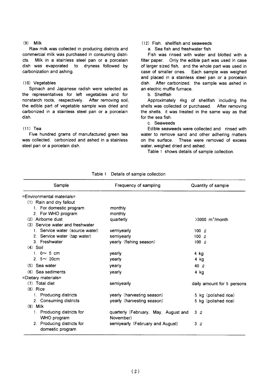#### $(9)$  Milk

Raw milk was collected in producing districts and commercial milk was purchased in consuming districts. Milk in a stainless steel pan or a porcelain dish was evaporated to dryness followed by carbonization and ashing.

#### (10) Vegetables

Spinach and Japanese radish were selected as the representatives for left vegetables and for nonstarch roots, respectively. After removing soil. the edible part of vegetable sample was dried and carbonized in a stainless steel pan or a porcelain dish.

#### $(11)$  Tea

Five hundred grams of manufactured green tea was collected, carbonized and ashed in a stainless steel pan or a porcelain dish.

## (12) Fish. shellfish and seaweeds

a. Sea fish and freshwater fish

Fish was rinsed with water and blotted with a filter paper. Only the edible part was used in case of larger sized fish, and the whole part was used in case of smaller ones. Each sample was weighed and placed in a stainless steel pan or a porcelain dish. After carbonized, the sample was ashed in an electric muffle furnace.

b. Shellfish

Approximately 4kg of shellfish including the shells was collected or purchased. After removing the shells, it was treated in the same way as that for the sea fish.

#### c. Seaweeds

Edible seaweeds were collected and rinsed with water to remove sand and other adhering matters on the surface. These were removed of excess water, weighed dried and ashed.

Table 1 shows details of sample collection.

| Sample                                         | Frequency of sampling                | Quantity of sample            |
|------------------------------------------------|--------------------------------------|-------------------------------|
| =Environmental materials=                      |                                      |                               |
| (1) Rain and dry fallout                       |                                      |                               |
| 1. For domestic program                        | monthly                              |                               |
| 2. For WHO program                             | monthly                              |                               |
| (2) Airborne dust                              | quarterly                            | $>3000$ m <sup>3</sup> /month |
| (3) Service water and freshwater               |                                      |                               |
| 1. Service water (source water)                | semiyearly                           | $100\alpha$                   |
| 2. Service water (tap water)                   | semiyearly                           | 100 $Q$                       |
| 3. Freshwater                                  | yearly (fishing season)              | $100\alpha$                   |
| $(4)$ Soil                                     |                                      |                               |
| 1. $0 \sim 5$ cm                               | yearly                               | 4 kg                          |
| 2. $5 \sim 20$ cm                              | yearly                               | 4 kg                          |
| $(5)$ Sea water                                | yearly                               | 40 $Q$                        |
| $(6)$ Sea sediments                            | yearly                               | 4 kg                          |
| =Dietary materials=                            |                                      |                               |
| $(7)$ Total diet                               | semiyearly                           | daily amount for 5 persons    |
| $(8)$ Rice                                     |                                      |                               |
| 1. Producing districts                         | yearly (harvesting season)           | 5 kg (polished rice)          |
| 2. Consuming districts                         | yearly (harvesting season)           | 5 kg (polished rice)          |
| $(9)$ Milk                                     |                                      |                               |
| 1. Producing districts for                     | quarterly (February, May, August and | 3Q                            |
| WHO program                                    | November)                            |                               |
| 2. Producing districts for<br>domestic program | semiyearly (February and August)     | 3Q                            |

Table 1 Details of sample collection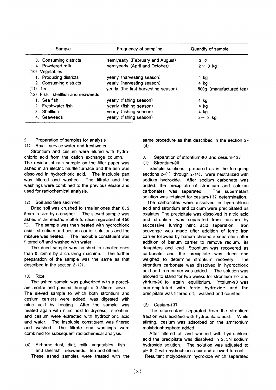| Sample                              | Frequency of sampling                | Quantity of sample      |
|-------------------------------------|--------------------------------------|-------------------------|
| 3. Consuming districts              | semiyearly (February and August)     | 3Q                      |
| 4. Powdered milk                    | semiyearly (April and October)       | $2 \sim 3$ kg           |
| (10) Vegetables                     |                                      |                         |
| 1. Producing districts              | yearly (harvesting season)           | 4 kg                    |
| 2. Consuming districts              | yearly (harvesting season)           | 4 ka                    |
| $(11)$ Tea                          | yearly (the first harvesting season) | 500g (manufactured tea) |
| $(12)$ Fish. shellfish and seaweeds |                                      |                         |
| 1. Sea fish                         | yearly (fishing season)              | 4 kg                    |
| 2. Freshwater fish                  | yearly (fishing season)              | 4 kg                    |
| 3. Shellfish                        | yearly (fishing season)              | 4 kg                    |
| 4. Seaweeds                         | yearly (fishing season)              | $2 \sim 3$ kg           |

Preparation of samples for analysis  $\mathcal{P}$ 

(1) Rain, service water and freshwater

Strontium and cesium were eluted with hydrochloric acid from the cation exchange column. The residue of rain sample on the filter paper was ashed in an electric muffle furnace and the ash was dissolved in hydrochloric acid. The insoluble part was filtered and washed. The filtrate and the washings were combined to the previous eluate and used for radiochemical analysis.

#### Soil and Sea sediment  $(2)$

Dried soil was crushed to smaller ones than 0.2 5mm in size by a crusher. The sieved sample was ashed in an electric muffle furnace regulated at 450 °C. The sample was then heated with hydrochloric acid. strontium and cesium carrier solutions and the mixture was heated. The insoluble constituent was filtered off and washed with water.

The dried sample was crushed to smaller ones than 0.25mm by a crushing machine. The further preparation of the sample was the same as that described in the section  $2-(2)$ .

## $(3)$  Rice

The ashed sample was pulverized with a porcelain mortar and passed through a 0.35mm sieve. The sieved sample to which both strontium and cesium carriers were added, was digested with nitric acid by heating. After the sample was heated again with nitric acid to dryness, strontium and cesium were extracted with hydrochloric acid and water. The insoluble constituent was filtered and washed. The filtrate and washings were combined for subsequent radiochemical analysis.

(4) Airborne dust, diet, milk, vegetables, fish and shellfish, seaweeds, tea and others These ashed samples were treated with the same procedure as that described in the section 2- $(4)$ .

#### $\mathbf{R}$ Separation of strontium-90 and cesium-137 Strontium-90  $(1)$

Sample solutions, prepared as in the foregoing sections  $2-(1)$  through  $2-(4)$ , were neutralized with sodium hydroxide. After sodium carbonate was added, the precipitate of strontium and calcium carbonates was separated. The supernatant solution was retained for cesium-137 determination.

The carbonates were dissolved in hydrochloric acid and strontium and calcium were precipitated as oxalates. The precipitate was dissolved in nitric acid and strontium was separated from calcium by successive fuming nitric acid separation. Iron scavenge was made after addition of ferric iron carrier followed by barium chromate separation after addition of barium carrier to remove radium, its daughters and lead. Strontium was recovered as carbonate, and the precipitate was dried and weighed to determine strontium recovery. The strontium carbonate was dissolved in hydrochloric acid and iron carrier was added. The solution was allowed to stand for two weeks for strontium-90 and yttrium-90 to attain equilibrium. Yttrium-90 was coprecipitated with ferric hydroxide and the precipitate was filtered off, washed and counted.

## $(2)$  Cesium-137

The supernatant separated from the strontium fraction was acidified with hydrochloric acid. While stirring, cesium was adsorbed on the ammonium molybdophosphate added.

After filtered off and washed with hydrochloric acid the precipitate was dissolved in 2.5N sodium hydroxide solution. The solution was adjusted to pH 8.2 with hydrochloric acid and allowed to cool.

Resultant molybdenum hydroxide which separated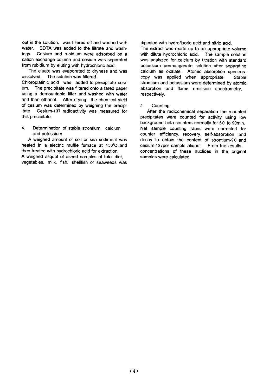out in the solution. was filtered off and washed with water. EDTA was added to the filtrate and washings. Cesium and rubidium were adsorbed on a cation exchange column and cesium was separated from rubidium by eluting with hydrochloric acid.

The eluate was evaporated to dryness and was dissolved. The solution was filtered.

Chloroplatinic acid was added to precipitate cesium. The precipitate was filtered onto a tared paper using a demountable filter and washed with water and then ethanol. After drying, the chemical yield of cesium was determined by weighing the precipitate. Cesium-137 radioactivity was measured for this precipitate.

 $\overline{4}$ . Determination of stable strontium, calcium and potassium

A weighed amount of soil or sea sediment was heated in a electric muffle furnace at 450°C and then treated with hydrochloric acid for extraction. A weighed aliquot of ashed samples of total diet. vegetables, milk, fish, shellfish or seaweeds was digested with hydrofluoric acid and nitric acid.

The extract was made up to an appropriate volume with dilute hydrochloric acid. The sample solution was analyzed for calcium by titration with standard potassium permanganate solution after separating calcium as oxalate. Atomic absorption spectroscopy was applied when appropriate. Stable strontium and potassium were determined by atomic absorption and flame emission spectrometry, respectively.

#### $5<sup>1</sup>$ Countina

After the radiochemical separation the mounted precipitates were counted for activity using low background beta counters normally for 60 to 90min. Net sample counting rates were corrected for counter efficiency, recovery, self-absorption and decay to obtain the content of strontium-90 and cesium-137per sample aliquot. From the results. concentrations of these nuclides in the original samples were calculated.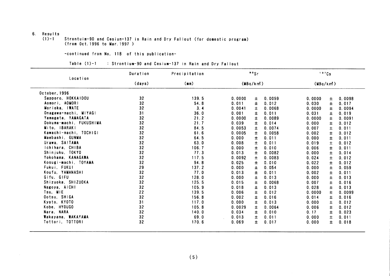## 6. Results

 $(1) - 1$ Strontuim-90 and Cesium-137 in Rain and Dry Fallout (for domestic program) (from Oct. 1996 to Mar. 1997)

-continued from No, 118 of this publication-

| Table $(1)-1$<br>: Strontium-90 and Cesium-137 in Rain and Dry Fallout |  |  |  |  |  |  |  |  |  |
|------------------------------------------------------------------------|--|--|--|--|--|--|--|--|--|
|------------------------------------------------------------------------|--|--|--|--|--|--|--|--|--|

|                         | Duration        | Precipitation | 90Sr            |        | 137Cs    |       |        |
|-------------------------|-----------------|---------------|-----------------|--------|----------|-------|--------|
| Location                | (days)          | (m)           | (MBq/km)        |        | (MBq/km) |       |        |
| October, 1996           |                 |               |                 |        |          |       |        |
| Sapporo, HOKKAIDOU      | 32              | 139.5         | 0.0000<br>士     | 0.0059 | 0.0000   | 士     | 0.0098 |
| Aomori, AOMORI          | 32              | 54.8          | 0.011<br>Ŧ      | 0.012  | 0.030    | ±.    | 0.017  |
| Morioka, IWATE          | 32              | 3.4           | 0.0041<br>士     | 0.0068 | 0.0000   | 士     | 0.0094 |
| Onagawa-machi, MIYAGI   | 31              | 36.0          | 0.001<br>土      | 0.011  | 0.031    | $\pm$ | 0.019  |
| Yamagata, YAMAGATA      | 32              | 21.2          | 0.0000<br>$\pm$ | 0.0089 | 0.0000   | 士     | 0.0091 |
| Ookuma-machi, FUKUSHIMA | 32              | 21.7          | 0.039<br>±      | 0.014  | 0.000    | 土     | 0.012  |
| Mito, IBARAKI           | 32              | 84.5          | 0.0053<br>$\pm$ | 0.0074 | 0.007    | 士     | 0.011  |
| Kawachi-machi, TOCHIGI  | 32              | 61.6          | 0.0005<br>$\pm$ | 0.0058 | 0.002    | 士     | 0.012  |
| Maebashi, GUNMA         | 32              | 64.5          | 0.000<br>±.     | 0.011  | 0.000    | 士     | 0.011  |
| Urawa, SAITAMA          | 32              | 63.0          | 0.008<br>士      | 0.011  | 0.019    | $\pm$ | 0.012  |
| Ichihara, CHIBA         | 32              | 106.7         | 0.000<br>士      | 0.010  | 0.006    | 士     | 0.011  |
| Shinjuku, TOKYO         | 32              | 77.3          | 0.013<br>士      | 0.0082 | 0.000    | 士     | 0.014  |
| Yokohama, KANAGAWA      | 32              | 117.5         | 0.0092<br>土     | 0.0083 | 0.024    | 士     | 0.012  |
| Kosugi-machi, TOYAMA    | 32              | 94.8          | 0.025<br>±      | 0.010  | 0.022    | 士     | 0.012  |
| Fukui, FUKUI            | 29              | 137.2         | 0.000<br>土      | 0.054  | 0.000    | 士     | 0.059  |
| Koufu, YAMANASHI        | 32              | 77.0          | 0.013<br>土      | 0.011  | 0.002    | Ŧ.    | 0.011  |
| Gifu, GIFU              | 32              | 128.0         | 0.000<br>Ŧ      | 0.013  | 0.000    | 士     | 0.013  |
| Shizuoka, SHIZUOKA      | 32              | 125.5         | 0.015<br>士      | 0.0068 | 0.007    | ±.    | 0.016  |
| Nagoya, AICHI           | 32              | 105.9         | 0.018<br>土      | 0.013  | 0.028    | $\pm$ | 0.013  |
| Tsu, MIE                | 22              | 139.5         | 0.006<br>土      | 0.012  | 0.0000   | ±.    | 0.0099 |
| Ootsu, SHIGA            | 32              | 156.8         | 0.002<br>±.     | 0.016  | 0.014    | ±.    | 0.016  |
| Kyoto, KYOTO            | 31              | 117.0         | 0.000<br>±.     | 0.013  | 0.000    | $\pm$ | 0.012  |
| Kobe, HYOUGO            | 32              | 105.8         | 0.0029<br>$\pm$ | 0.0064 | 0.006    | ±.    | 0.012  |
| Nara, NARA              | 32              | 140.0         | 0.034<br>士      | 0.010  | 0.17     | ±     | 0.023  |
| Wakayama, WAKAYAMA      | 32              | 69.0          | 0.013<br>士      | 0.011  | 0.000    | Ŧ     | 0.011  |
| Tottori, TOTTORI        | 32 <sub>2</sub> | 170.6         | Ŧ<br>0.069      | 0.017  | 0.000    | ±.    | 0.018  |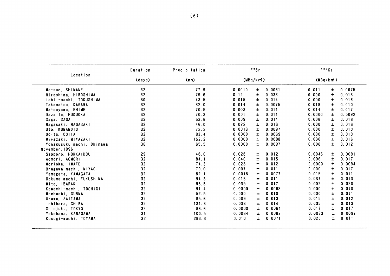|                           | Duration        | Precipitation | 90Sr     |                 |        | 137Cs    |        |
|---------------------------|-----------------|---------------|----------|-----------------|--------|----------|--------|
| Location                  | (days)          | (mn)          | (MBq/km) |                 |        | (MBq/km) |        |
| Matsue, SHIMANE           | 32              | 77.9          | 0.0010   | 0.0061<br>±.    | 0.011  | ±.       | 0.0075 |
| Hiroshima, HIROSHIMA      | 32              | 79.6          | 0.12     | $\pm$<br>0.038  | 0.000  | $\pm$    | 0.013  |
| Ishii-machi, TOKUSHIMA    | 30              | 43.5          | 0.015    | Ŧ<br>0.014      | 0.000  | Ŧ        | 0.016  |
| Takamatsu, KAGAWA         | 32 <sub>2</sub> | 82.0          | 0.014    | 0.0075<br>士     | 0.019  | Ŧ.       | 0.010  |
| Matsuyama, EHIME          | 32              | 70.5          | 0.003    | Ŧ<br>0.011      | 0.014  | 土        | 0.017  |
| Dazaifu, FUKUOKA          | 32              | 70.3          | 0.001    | 0.011<br>±      | 0.0000 | 士        | 0.0092 |
| Saga, SAGA                | 32              | 53.6          | 0.009    | 士<br>0.014      | 0.006  | 士        | 0.016  |
| Nagasaki, NAGASAKI        | 32              | 46.0          | 0.022    | 0.016<br>$\pm$  | 0.000  | $\pm$    | 0.016  |
| Uto, KUMAMOTO             | 32              | 72.2          | 0.0013   | 0.0097<br>±.    | 0.000  | Ŧ.       | 0.010  |
| Ooita, OOITA              | 32              | 83.4          | 0.0000   | 0.0069<br>±.    | 0.000  | Ŧ.       | 0.010  |
| Miyazaki, MIYAZAKI        | 32              | 152.2         | 0.0000   | 0.0088<br>$\pm$ | 0.000  | $\pm$    | 0.016  |
| Yonagusuku-machi, Okinawa | 36              | 65.5          | 0.0000   | $\pm$<br>0.0097 | 0.000  | $\pm$    | 0.012  |
| November, 1996            |                 |               |          |                 |        |          |        |
| Sapporo, HOKKAIDOU        | 29              | 48.0          | 0.028    | 0.012<br>士      | 0.0046 | 士        | 0.0091 |
| Aomori, AOMORI            | 32              | 84.1          | 0.040    | 0.015<br>±.     | 0.006  | ±.       | 0.017  |
| Morioka, IWATE            | 32              | 74.3          | 0.023    | $\pm$<br>0.012  | 0.0000 | Ŧ.       | 0.0094 |
| Onagawa-machi, MIYAGI     | 32              | 79.0          | 0.007    | 0.011<br>$\pm$  | 0.000  | ±        | 0.017  |
| Yamagata, YAMAGATA        | 32              | 82.1          | 0.0018   | 0.0077<br>士     | 0.015  | ±.       | 0.011  |
| Ookuma-machi, FUKUSHIMA   | 32              | 94.3          | 0.015    | 0.011<br>±.     | 0.037  | $\pm$    | 0.013  |
| Mito, IBARAKI             | 32              | 95.5          | 0.039    | 0.017<br>土      | 0.002  | $\pm$    | 0.020  |
| Kawachi-machi, TOCHIGI    | 32              | 91.4          | 0.0000   | $\pm$<br>0.0068 | 0.000  | $\pm$    | 0.010  |
| Maebashi, GUNMA           | 32              | 52.5          | 0.000    | 0.010<br>$\pm$  | 0.000  | 士        | 0.011  |
| Urawa, SAITAMA            | 32              | 85.6          | 0.009    | 0.013<br>Ŧ      | 0.015  | 土        | 0.012  |
| ichihara, CHIBA           | 32              | 131.6         | 0.033    | 0.014<br>土      | 0.035  | 士        | 0.013  |
| Shinjuku, TOKYO           | 32 <sub>2</sub> | 86.6          | 0.0000   | ±.<br>0.0064    | 0.017  | $\pm$    | 0.017  |
| Yokohama, KANAGAWA        | 31              | 100.5         | 0.0084   | ±.<br>0.0082    | 0.0033 | $\pm$    | 0.0097 |
| Kosugi-machi, TOYAMA      | 32              | 283.3         | 0.010    | 0.0071<br>Ŧ.    | 0.025  | ±.       | 0.011  |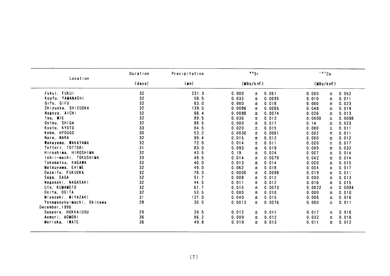|                           | Duration | Precipitation | 90Sr                   |        | 137Cs    |                |
|---------------------------|----------|---------------|------------------------|--------|----------|----------------|
| Location                  | (days)   | (mn)          | (MBa/km <sup>2</sup> ) |        | (MBq/km) |                |
| Fukui, FUKUI              | 32       | 231.3         | 0.000<br>$\pm$         | 0.051  | 0.000    | 0.052<br>$\pm$ |
| Koufu, YAMANASHI          | 32       | 58.5          | 0.032<br>$\pm$         | 0.0095 | 0.010    | ±<br>0.011     |
| Gifu, GIFU                | 32       | 83.0          | 0.000<br>$\pm$         | 0.018  | 0.000    | Ŧ<br>0.023     |
| Shizuoka, SHIZUOKA        | 32       | 139.5         | 0.0086<br>Ŧ            | 0.0065 | 0.048    | 0.019<br>士     |
| Nagoya, AICHI             | 32       | 66.4          | 0.0088<br>$\pm$        | 0.0074 | 0.026    | Ŧ<br>0.013     |
| Tsu, MIE                  | 32       | 89.5          | $\pm$<br>0.036         | 0.013  | 0.0000   | Ŧ<br>0.0098    |
| Ootsu, SHIGA              | 32       | 88.5          | 0.000<br>Ŧ             | 0.017  | 0.14     | 0.023<br>士     |
| Kyoto, KYOTO              | 33       | 84.5          | 0.020<br>$\pm$         | 0.015  | 0.000    | Ŧ<br>0.011     |
| Kobe, HYOUGO              | 30       | 53.2          | Ŧ<br>0.0030            | 0.0061 | 0.002    | 士<br>0.011     |
| Nara, NARA                | 32       | 99.4          | 0.015<br>±             | 0.012  | 0.000    | 士<br>0.012     |
| Wakayama, WAKAYAMA        | 32       | 72.0          | 0.014<br>$\pm$         | 0.011  | 0.000    | $\pm$<br>0.017 |
| Tottori, TOTTORI          | 31       | 83.0          | $\pm$<br>0.093         | 0.019  | 0.009    | $\pm$<br>0.032 |
| Hiroshima, HIROSHIMA      | 32       | 43.5          | 0.19<br>Ŧ              | 0.024  | 0.007    | 0.014<br>士     |
| Ishii-machi, TOKUSHIMA    | 33       | 49.5          | 0.014<br>Ŧ             | 0.0079 | 0.042    | ±<br>0.014     |
| Takamatsu, KAGAWA         | 32       | 40.0          | Ŧ<br>0.013             | 0.014  | 0.000    | 士<br>0.015     |
| Matsuyama, EHIME          | 32       | 49.0          | 0.062<br>$\pm$         | 0.018  | 0.004    | Ŧ<br>0.017     |
| Dazaifu, FUKUOKA          | 32       | 78.3          | 0.0000<br>$\pm$        | 0.0098 | 0.019    | $\pm$<br>0.011 |
| Saga, SAGA                | 32       | 51.7          | $\pm$<br>0.008         | 0.012  | 0.000    | Ŧ<br>0.013     |
| Nagasaki, NAGASAKI        | 32       | 44.5          | 0.011<br>±             | 0.012  | 0.016    | 0.015<br>Ŧ.    |
| Uto, KUMAMOTO             | 32       | 61.7          | 0.015<br>土             | 0.0073 | 0.0022   | 土<br>0.0094    |
| Ocita, OOITA              | 32       | 53.5          | Ŧ<br>0.000             | 0.010  | 0.000    | Ŧ<br>0.010     |
| Miyazaki, MIYAZAKI        | 31       | 127.0         | 0.040<br>Ŧ             | 0.015  | 0.006    | 0.016<br>Ŧ.    |
| Yonagusuku-machi, Okinawa | 28       | 30.0          | 0.0013<br>士            | 0.0076 | 0.000    | 士<br>0.011     |
| December, 1996            |          |               |                        |        |          |                |
| Sapporo, HOKKAIDOU        | 29       | 39.5          | 0.012<br>±             | 0.011  | 0.017    | 0.016<br>Ŧ.    |
| Aomori, AOMORI            | 36       | 86.2          | 0.009<br>士             | 0.012  | 0.032    | 土<br>0.016     |
| Morioka, IWATE            | 36       | 49.8          | 0.019<br>Ŧ             | 0.013  | 0.011    | Ŧ.<br>0.012    |
|                           |          |               |                        |        |          |                |
|                           |          |               |                        |        |          |                |
|                           |          | (7)           |                        |        |          |                |
|                           |          |               |                        |        |          |                |
|                           |          |               |                        |        |          |                |
|                           |          |               |                        |        |          |                |
|                           |          |               |                        |        |          |                |

 $\sim 10^{-10}$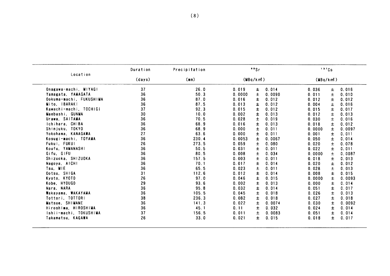| Location                | Duration       | Precipitation | 90Sr     |                 |          | 137Cs          |  |
|-------------------------|----------------|---------------|----------|-----------------|----------|----------------|--|
|                         | (days)<br>(mn) |               | (MBq/km) |                 | (MBq/km) |                |  |
| Onagawa-machi, MIYAGI   | 37             | 26.0          | 0.019    | 0.014<br>±.     | 0.036    | 0.016<br>±.    |  |
| Yamagata, YAMAGATA      | 36             | 50.3          | 0.0000   | $\pm$<br>0.0090 | 0.011    | 士<br>0.010     |  |
| Ookuma-machi, FUKUSHIMA | 36             | 87.0          | 0.016    | 0.012<br>Ŧ      | 0.012    | 士<br>0.012     |  |
| Mito, IBARAKI           | 36             | 87.5          | 0.013    | 0.012<br>$\pm$  | 0.004    | $\pm$<br>0.016 |  |
| Kawachi-machi, TOCHIGI  | 37             | 92.3          | 0.015    | 0.012<br>±      | 0.015    | 0.017<br>士     |  |
| Maebashi, GUNMA         | 30             | 10.0          | 0.002    | 0.013<br>土      | 0.012    | ±.<br>0.013    |  |
| Urawa, SAITAMA          | 36             | 70.5          | 0.028    | 0.019<br>士      | 0.030    | ±.<br>0.016    |  |
| Ichihara, CHIBA         | 36             | 68.9          | 0.016    | Ŧ<br>0.013      | 0.018    | Ŧ<br>0.012     |  |
| Shinjuku, TOKYO         | 36             | 68.9          | 0.000    | Ŧ<br>0.011      | 0.0000   | Ŧ<br>0.0097    |  |
| Yokohama, KANAGAWA      | 27             | 63.6          | 0.000    | 士<br>0.011      | 0.001    | 0.011<br>±     |  |
| Kosugi-machi, TOYAMA    | 36             | 230.4         | 0.0053   | 士<br>0.0067     | 0.050    | Ŧ.<br>0.014    |  |
| Fukui, FUKUI            | 26             | 273.5         | 0.059    | 土<br>0.080      | 0.020    | $\pm$<br>0.078 |  |
| Koufu, YAMANASHI        | 36             | 50.5          | 0.031    | 0.011<br>土      | 0.022    | Ŧ.<br>0.011    |  |
| Gifu, GIFU              | 36             | 80.5          | 0.008    | 0.034<br>士      | 0.0000   | 0.0087<br>土    |  |
| Shizuoka, SHIZUOKA      | 36             | 157.5         | 0.003    | 土<br>0.011      | 0.018    | Ŧ.<br>0.013    |  |
|                         | 36             |               |          |                 |          |                |  |
| Nagoya, AICHI           |                | 70.1          | 0.017    | 士<br>0.014      | 0.020    | Ŧ<br>0.012     |  |
| Tsu, MIE                | 36             | 65.5          | 0.023    | 土<br>0.011      | 0.028    | $\pm$<br>0.013 |  |
| Ootsu, SHIGA            | 31             | 112.6         | 0.012    | 0.014<br>±.     | 0.008    | Ŧ.<br>0.015    |  |
| Kyoto, KYOTO            | 26             | 97.0          | 0.046    | 0.015<br>士      | 0.0000   | 土<br>0.0093    |  |
| Kobe, HYOUGO            | 29             | 93.6          | 0.002    | Ŧ<br>0.013      | 0.000    | 士<br>0.014     |  |
| Nara, NARA              | 36             | 95.8          | 0.032    | 士<br>0.014      | 0.051    | 0.017<br>Ŧ.    |  |
| Wakayama, WAKAYAMA      | 36             | 105.5         | 0.045    | ±.<br>0.018     | 0.026    | 土<br>0.013     |  |
| Tottori, TOTTORI        | 38             | 236.3         | 0.082    | 0.018<br>士      | 0.027    | 0.018<br>士     |  |
| Matsue, SHIMANE         | 36             | 141.3         | 0.022    | ±.<br>0.0074    | 0.030    | 0.0092<br>Ŧ.   |  |
| Hiroshima, HIROSHIMA    | 36             | 45.1          | 0.11     | 0.032<br>土      | 0.024    | 0.014<br>Ŧ.    |  |
| Ishii-machi, TOKUSHIMA  | 37             | 156.5         | 0.011    | $\pm$<br>0.0083 | 0.051    | Ŧ.<br>0.014    |  |
| Takamatsu, KAGAWA       | 26             | 33.0          | 0.021    | 0.015<br>士      | 0.018    | ±.<br>0.017    |  |
|                         |                |               |          |                 |          |                |  |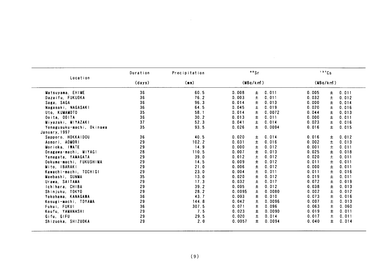| Location<br>Matsuyama, EHIME<br>Dazaifu, FUKUOKA<br>Saga, SAGA<br>Nagasaki, NAGASAKI<br>Uto, KUMAMOTO<br>Ooita, OOITA<br>Miyazaki, MIYAZAKI<br>Yonagusuku-machi, Okinawa<br>January, 1997<br>Sapporo, HOKKAIDOU | (days)<br>36<br>36<br>36<br>36<br>35<br>36<br>37<br>35 | (mm)<br>60.5<br>76.2<br>96.3<br>64.5<br>58.1<br>30.2<br>52.3<br>93.5 | (MBa/km <sup>2</sup> )<br>0.008<br>$\pm$<br>$\pm$<br>0.003<br>0.014<br>±<br>$\pm$<br>0.045<br>0.014<br>土<br>$\pm$<br>0.013<br>0.041<br>Ŧ. | 0.011<br>0.011<br>0.013<br>0.019<br>0.0072<br>0.011 | (MBq/km)<br>0.005<br>0.032<br>0.000<br>0.020<br>0.044<br>0.000 | $\pm$<br>0.011<br>$\pm$<br>0.012<br>士<br>0.014<br>$\pm$<br>0.016<br>Ŧ<br>0.013<br>$\pm$<br>0.011 |
|-----------------------------------------------------------------------------------------------------------------------------------------------------------------------------------------------------------------|--------------------------------------------------------|----------------------------------------------------------------------|-------------------------------------------------------------------------------------------------------------------------------------------|-----------------------------------------------------|----------------------------------------------------------------|--------------------------------------------------------------------------------------------------|
|                                                                                                                                                                                                                 |                                                        |                                                                      |                                                                                                                                           |                                                     |                                                                |                                                                                                  |
|                                                                                                                                                                                                                 |                                                        |                                                                      |                                                                                                                                           |                                                     |                                                                |                                                                                                  |
|                                                                                                                                                                                                                 |                                                        |                                                                      |                                                                                                                                           |                                                     |                                                                |                                                                                                  |
|                                                                                                                                                                                                                 |                                                        |                                                                      |                                                                                                                                           |                                                     |                                                                |                                                                                                  |
|                                                                                                                                                                                                                 |                                                        |                                                                      |                                                                                                                                           |                                                     |                                                                |                                                                                                  |
|                                                                                                                                                                                                                 |                                                        |                                                                      |                                                                                                                                           |                                                     |                                                                |                                                                                                  |
|                                                                                                                                                                                                                 |                                                        |                                                                      |                                                                                                                                           |                                                     |                                                                |                                                                                                  |
|                                                                                                                                                                                                                 |                                                        |                                                                      |                                                                                                                                           | 0.014                                               | 0.023                                                          | ±.<br>0.016                                                                                      |
|                                                                                                                                                                                                                 |                                                        |                                                                      | 0.026<br>士                                                                                                                                | 0.0094                                              | 0.016                                                          | $\pm$<br>0.015                                                                                   |
|                                                                                                                                                                                                                 |                                                        |                                                                      |                                                                                                                                           |                                                     |                                                                |                                                                                                  |
|                                                                                                                                                                                                                 | 36                                                     | 40.5                                                                 | 0.020<br>±                                                                                                                                | 0.014                                               | 0.016                                                          | 0.012<br>±                                                                                       |
| Aomori, AOMORI                                                                                                                                                                                                  | 29                                                     | 102.2                                                                | 0.031<br>$\pm$                                                                                                                            | 0.016                                               | 0.002                                                          | $\pm$<br>0.013                                                                                   |
| Morioka, IWATE                                                                                                                                                                                                  | 29                                                     | 14.9                                                                 | 0.000<br>$\pm$                                                                                                                            | 0.012                                               | 0.001                                                          | $\pm$<br>0.011                                                                                   |
| Onagawa-machi, MIYAGI                                                                                                                                                                                           | 28                                                     | 110.5                                                                | 0.007<br>$\pm$                                                                                                                            | 0.013                                               | 0.025                                                          | ±<br>0.018                                                                                       |
| Yamagata, YAMAGATA                                                                                                                                                                                              | 29                                                     | 39.0                                                                 | 0.012<br>±                                                                                                                                | 0.012                                               | 0.020                                                          | $\pm$<br>0.011                                                                                   |
| Ookuma-machi, FUKUSHIMA                                                                                                                                                                                         | 29                                                     | 14.5                                                                 | 0.009<br>Ŧ                                                                                                                                | 0.012                                               | 0.011                                                          | $\pm$<br>0.011                                                                                   |
| Mito, IBARAKI                                                                                                                                                                                                   | 29                                                     | 21.0                                                                 | 0.006<br>$\pm$                                                                                                                            | 0.012                                               | 0.000                                                          | Ŧ<br>0.011                                                                                       |
| Kawachi-machi, TOCHIGI                                                                                                                                                                                          | 29                                                     | 23.0                                                                 | 土<br>0.004                                                                                                                                | 0.011                                               | 0.011                                                          | 土<br>0.016                                                                                       |
|                                                                                                                                                                                                                 | 35                                                     | 13.0                                                                 | 0.020                                                                                                                                     | 0.012                                               | 0.019                                                          | $\pm$<br>0.011                                                                                   |
| Maebashi, GUNMA                                                                                                                                                                                                 | 29                                                     | 17.3                                                                 | 士<br>0.032                                                                                                                                | 0.017                                               | 0.072                                                          | $\pm$                                                                                            |
| Urawa, SAITAMA                                                                                                                                                                                                  | 29                                                     |                                                                      | $\pm$                                                                                                                                     | 0.012                                               |                                                                | 0.019                                                                                            |
| Ichihara, CHIBA                                                                                                                                                                                                 |                                                        | 39.2                                                                 | $\pm$<br>0.005                                                                                                                            |                                                     | 0.038                                                          | $\pm$<br>0.013                                                                                   |
| Shinjuku, TOKYO                                                                                                                                                                                                 | 29                                                     | 28.2                                                                 | 0.0095<br>士                                                                                                                               | 0.0080                                              | 0.002                                                          | Ŧ<br>0.012                                                                                       |
| Yokohama, KANAGAWA                                                                                                                                                                                              | 36                                                     | 43.7                                                                 | 0.003<br>$\pm$                                                                                                                            | 0.010                                               | 0.073                                                          | $\pm$<br>0.016                                                                                   |
| Kosugi-machi, TOYAMA                                                                                                                                                                                            | 29                                                     | 144.8                                                                | 0.042<br>$\pm$                                                                                                                            | 0.0096                                              | 0.007                                                          | $\pm$<br>0.013                                                                                   |
| Fukui, FUKUI                                                                                                                                                                                                    | 36                                                     | 307.5                                                                | 0.071<br>$\pm$                                                                                                                            | 0.096                                               | 0.063                                                          | $\pm$<br>0.060                                                                                   |
| Koufu, YAMANASHI                                                                                                                                                                                                | 29                                                     | 7.5                                                                  | 0.023<br>Ŧ                                                                                                                                | 0.0090                                              | 0.019                                                          | $\pm$<br>0.011                                                                                   |
| Gifu, GIFU                                                                                                                                                                                                      | 29                                                     | 29.5                                                                 | $\pm$<br>0.020                                                                                                                            | 0.014                                               | 0.017                                                          | $\pm$<br>0.011                                                                                   |
| Shizuoka, SHIZUOKA                                                                                                                                                                                              | 29                                                     | 2.0                                                                  | 0.0057<br>士                                                                                                                               | 0.0094                                              | 0.040                                                          | Ŧ.<br>0.014                                                                                      |

 $\sim 10^7$ 

 $\sim$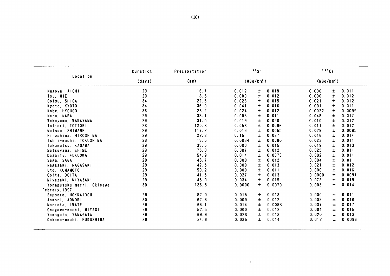|                           | Duration | Precipitation |        | 50Sr     |        |          | 137Cs |        |
|---------------------------|----------|---------------|--------|----------|--------|----------|-------|--------|
| Location                  | (days)   | (mm)          |        | (MBq/km) |        | (MBq/km) |       |        |
| Nagoya, AICHI             | 29       | 16.7          | 0.012  | 土        | 0.018  | 0.000    | $\pm$ | 0.011  |
| Tsu, MIE                  | 29       | 8.5           | 0.000  | 士        | 0.012  | 0.000    | 土     | 0.012  |
| Ootsu, SHIGA              | 34       | 22.8          | 0.023  | Ŧ.       | 0.015  | 0.021    | $\pm$ | 0.012  |
| Kyoto, KYOTO              | 34       | 36.0          | 0.041  | ±.       | 0.016  | 0.001    | 土     | 0.011  |
| Kobe, HYOUGO              | 36       | 25.2          | 0.024  | 土        | 0.012  | 0.0022   | 土     | 0.0099 |
| Nara, NARA                | 29       | 38.1          | 0.003  | $\pm$    | 0.011  | 0.048    | $\pm$ | 0.017  |
| Wakayama, WAKAYAMA        | 29       | 31.0          | 0.019  | ±.       | 0.020  | 0.010    | ±.    | 0.012  |
| Tottori, TOTTORI          | 28       | 120.3         | 0.053  | Ŧ.       | 0.0096 | 0.011    | 土     | 0.012  |
| Matsue, SHIMANE           | 29       | 117.2         | 0.016  | $\pm$    | 0.0055 | 0.029    | $\pm$ | 0.0095 |
| Hiroshima, HIROSHIMA      | 29       | 22.8          | 0.15   | 士        | 0.037  | 0.016    | Ŧ     | 0.014  |
| Ishii-machi. TOKUSHIMA    | 28       | 18.5          | 0.0084 | $\pm$    | 0.0080 | 0.023    | $\pm$ | 0.011  |
| Takamatsu. KAGAWA         | 39       | 38.5          | 0.000  | $\pm$    | 0.015  | 0.019    | Ŧ     | 0.013  |
| Matsuyama, EHIME          | 29       | 75.0          | 0.007  | $\pm$    | 0.012  | 0.025    | ±.    | 0.011  |
| Dazaifu. FUKUOKA          | 29       | 54.9          | 0.014  | $\pm$    | 0.0073 | 0.002    | $\pm$ | 0.011  |
| Saga, SAGA                | 29       | 48.7          | 0.000  | $\pm$    | 0.012  | 0.004    | $\pm$ | 0.011  |
| Nagasaki, NAGASAKI        | 29       | 42.5          | 0.000  | Ŧ        | 0.013  | 0.021    | 士     | 0.012  |
| Uto, KUMAMOTO             | 29       | 50.2          | 0.000  | 土        | 0.011  | 0.006    | $\pm$ | 0.016  |
| Ooita, OOITA              | 29       | 41.5          | 0.027  | Ŧ        | 0.013  | 0.0000   | $\pm$ | 0.0091 |
| Miyazaki, MIYAZAKI        | 29       | 45.0          | 0.034  | Ŧ        | 0.015  | 0.073    | $\pm$ | 0.019  |
| Yonagusuku-machi, Okinawa | 30       | 136.5         | 0.0000 | 土        | 0.0079 | 0.003    | $\pm$ | 0.014  |
| Febraly, 1997             |          |               |        |          |        |          |       |        |
| Sapporo, HOKKAIDOU        | 29       | 82.0          | 0.015  | Ŧ.       | 0.013  | 0.000    | ±.    | 0.011  |
| Aomori. AOMORI            | 30       | 62.8          | 0.009  | Ŧ.       | 0.012  | 0.008    | 士     | 0.016  |
| Morioka, IWATE            | 29       | 66.1          | 0.014  | Ŧ.       | 0.0088 | 0.037    | 士     | 0.017  |
| Onagawa-machi, MIYAGI     | 29       | 52.5          | 0.000  | Ŧ.       | 0.012  | 0.004    | $\pm$ | 0.015  |
| Yamagata, YAMAGATA        | 29       | 69.9          | 0.023  | 土        | 0.013  | 0.020    | 士     | 0.013  |
| Ookuma-machi, FUKUSHIMA   | 30       | 34.6          | 0.035  | Ŧ.       | 0.014  | 0.012    | Ŧ     | 0.0096 |

 $\sim 10^{-11}$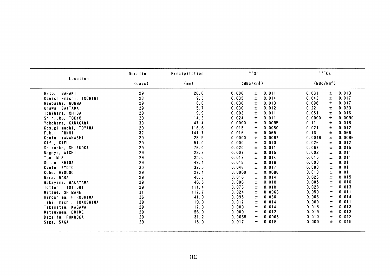|                                                                                                                                                                                                                                                                                                                                                                                                                                                                                                                               | Duration                                                                                                                                                       | Precipitation                                                                                                                                                                                                          | 99Sr                                                                                                                                                                                                                                                                                                                                                                                                                                                                                                                                                                                                                                                                                                | 137Cs                                                                                                                                                                                                                                                                                                                                                                                                                                                                                                                                                                                                                                                                           |
|-------------------------------------------------------------------------------------------------------------------------------------------------------------------------------------------------------------------------------------------------------------------------------------------------------------------------------------------------------------------------------------------------------------------------------------------------------------------------------------------------------------------------------|----------------------------------------------------------------------------------------------------------------------------------------------------------------|------------------------------------------------------------------------------------------------------------------------------------------------------------------------------------------------------------------------|-----------------------------------------------------------------------------------------------------------------------------------------------------------------------------------------------------------------------------------------------------------------------------------------------------------------------------------------------------------------------------------------------------------------------------------------------------------------------------------------------------------------------------------------------------------------------------------------------------------------------------------------------------------------------------------------------------|---------------------------------------------------------------------------------------------------------------------------------------------------------------------------------------------------------------------------------------------------------------------------------------------------------------------------------------------------------------------------------------------------------------------------------------------------------------------------------------------------------------------------------------------------------------------------------------------------------------------------------------------------------------------------------|
| Location                                                                                                                                                                                                                                                                                                                                                                                                                                                                                                                      | (days)                                                                                                                                                         | (mm)                                                                                                                                                                                                                   | (WBq/km)                                                                                                                                                                                                                                                                                                                                                                                                                                                                                                                                                                                                                                                                                            | (MBq/km)                                                                                                                                                                                                                                                                                                                                                                                                                                                                                                                                                                                                                                                                        |
| Mito, IBARAKI<br>Kawachi-machi, TOCHIGI<br>Maebashi, GUNMA<br>Urawa, SAITAMA<br>Ichihara, CHIBA<br>Shinjuku, TOKYO<br>Yokohama, KANAGAWA<br>Kosugi-machi, TOYAMA<br>Fukui, FUKUI<br>Koufu, YAMANASHI<br>Gifu, GIFU<br>Shizuoka, SHIZUOKA<br>Nagoya, AICHI<br>Tsu, MIE<br>Ootsu, SHIGA<br>Kyoto, KYOTO<br>Kobe, HYOUGO<br>Nara, NARA<br>Wakayama. WAKAYAMA<br>Tottori, TOTTORI<br>Matsue, SHIMANE<br>Hiroshima, HIROSHIMA<br>Ishii-machi, TOKUSHIMA<br>Takamatsu, KAGAWA<br>Matsuyama, EHIME<br>Dazaifu, FUKUOKA<br>Saga, SAGA | 29<br>28<br>29<br>29<br>29<br>29<br>30<br>29<br>32<br>29<br>29<br>29<br>29<br>29<br>29<br>30<br>29<br>29<br>29<br>29<br>31<br>26<br>29<br>29<br>29<br>29<br>29 | 26.0<br>9.5<br>6.0<br>15.7<br>19.9<br>14.3<br>47.4<br>116.6<br>141.7<br>28.5<br>51.0<br>76.0<br>23.2<br>25.0<br>49.4<br>32.5<br>27.4<br>40.3<br>40.5<br>111.4<br>117.7<br>41.0<br>19.0<br>17.0<br>56.0<br>31.2<br>16.0 | 0.011<br>0.006<br>±<br>$\pm$<br>0.035<br>0.014<br>0.013<br>0.030<br>士<br>0.030<br>0.012<br>±<br>0.003<br>0.011<br>±<br>$\pm$<br>0.024<br>0.011<br>0.0000<br>$\pm$<br>0.0095<br>0.015<br>$\pm$<br>0.0080<br>0.016<br>$\pm$<br>0.065<br>$\pm$<br>0.0000<br>0.0067<br>$\pm$<br>0.010<br>0.000<br>0.011<br>0.020<br>土<br>0.007<br>±<br>0.015<br>0.012<br>0.014<br>土<br>$\pm$<br>0.018<br>0.016<br>0.046<br>Ŧ<br>0.017<br>0.0000<br>±<br>0.0086<br>$\pm$<br>0.014<br>0.016<br>$\pm$<br>0.010<br>0.000<br>$\pm$<br>0.010<br>0.073<br>0.0063<br>0.024<br>士<br>0.095<br>0.030<br>±<br>0.017<br>0.014<br>士<br>$\pm$<br>0.000<br>0.014<br>Ŧ<br>0.012<br>0.000<br>士<br>0.0065<br>0.0069<br>0.015<br>0.017<br>土 | 0.013<br>0.031<br>±<br>$\pm$<br>0.043<br>0.017<br>0.098<br>0.017<br>土<br>0.22<br>Ŧ.<br>0.023<br>0.051<br>0.016<br>士<br>0.0000<br>Ŧ<br>0.0090<br>0.11<br>Ŧ<br>0.018<br>0.021<br>士<br>0.012<br>0.13<br>Ŧ.<br>0.066<br>$\pm$<br>0.0046<br>0.0086<br>0.026<br>士<br>0.012<br>0.067<br>0.015<br>Ŧ.<br>0.002<br>±<br>0.011<br>0.015<br>Ŧ<br>0.011<br>$\pm$<br>0.000<br>0.011<br>0.000<br>土<br>0.011<br>0.010<br>土<br>0.011<br>0.023<br>$\pmb{\pm}$<br>0.015<br>0.005<br>Ŧ<br>0.010<br>0.028<br>Ŧ<br>0.013<br>0.059<br>0.011<br>土<br>0.008<br>$\pm$<br>0.014<br>$\pm$<br>0.009<br>0.011<br>$\pm$<br>0.018<br>0.013<br>0.019<br>士<br>0.013<br>0.010<br>土<br>0.012<br>0.000<br>士<br>0.015 |
|                                                                                                                                                                                                                                                                                                                                                                                                                                                                                                                               |                                                                                                                                                                | (11)                                                                                                                                                                                                                   |                                                                                                                                                                                                                                                                                                                                                                                                                                                                                                                                                                                                                                                                                                     |                                                                                                                                                                                                                                                                                                                                                                                                                                                                                                                                                                                                                                                                                 |
|                                                                                                                                                                                                                                                                                                                                                                                                                                                                                                                               |                                                                                                                                                                |                                                                                                                                                                                                                        |                                                                                                                                                                                                                                                                                                                                                                                                                                                                                                                                                                                                                                                                                                     |                                                                                                                                                                                                                                                                                                                                                                                                                                                                                                                                                                                                                                                                                 |
|                                                                                                                                                                                                                                                                                                                                                                                                                                                                                                                               |                                                                                                                                                                |                                                                                                                                                                                                                        |                                                                                                                                                                                                                                                                                                                                                                                                                                                                                                                                                                                                                                                                                                     |                                                                                                                                                                                                                                                                                                                                                                                                                                                                                                                                                                                                                                                                                 |
|                                                                                                                                                                                                                                                                                                                                                                                                                                                                                                                               |                                                                                                                                                                |                                                                                                                                                                                                                        |                                                                                                                                                                                                                                                                                                                                                                                                                                                                                                                                                                                                                                                                                                     |                                                                                                                                                                                                                                                                                                                                                                                                                                                                                                                                                                                                                                                                                 |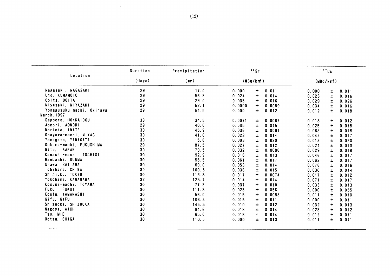| Location                  | Duration | Precipitation | 99Sr     |                 | 137Cs                   |
|---------------------------|----------|---------------|----------|-----------------|-------------------------|
|                           | (days)   | (mm)          | (MBq/km) |                 | (MBq/km)                |
| Nagasaki, NAGASAKI        | 29       | 17.0          | 0.000    | 0.011<br>Ŧ.     | 0.000<br>0.011<br>$\pm$ |
| Uto. KUMAMOTO             | 29       | 56.8          | 0.024    | $\pm$<br>0.014  | $\pm$<br>0.023<br>0.016 |
| Ooita, OOITA              | 29       | 29.0          | 0.035    | 0.016<br>±.     | 0.029<br>±.<br>0.026    |
| Miyazaki, MIYAZAKI        | 29       | 52.1          | 0.0000   | 0.0089<br>Ŧ.    | 0.034<br>$\pm$<br>0.016 |
| Yonagusuku-machi, Okinawa | 29       | 54.5          | 0.000    | 0.012<br>±.     | 0.012<br>$\pm$<br>0.018 |
| <b>March, 1997</b>        |          |               |          |                 |                         |
| Sapporo, HOKKAIDOU        | 33       | 34.5          | 0.0071   | 0.0067<br>±.    | 0.018<br>0.012<br>土     |
| Aomori, AOMORI            | 29       | 40.0          | 0.035    | Ŧ.<br>0.015     | 0.025<br>$\pm$<br>0.018 |
| Morioka, IWATE            | 30       | 45.9          | 0.036    | $\pm$<br>0.0091 | 0.065<br>$\pm$<br>0.018 |
| Onagawa-machi, MIYAGI     | 30       | 41.0          | 0.023    | 0.014<br>Ŧ      | 0.042<br>$\pm$<br>0.017 |
| Yamagata, YAMAGATA        | 30       | 15.8          | 0.003    | $\pm$<br>0.020  | 0.013<br>$\pm$<br>0.020 |
| Ookuma-machi, FUKUSHIMA   | 29       | 87.5          | 0.027    | $\pm$<br>0.012  | 0.024<br>$\pm$<br>0.013 |
| Mito, IBARAKI             | 30       | 79.5          | 0.032    | 0.0086<br>Ŧ     | 0.029<br>士<br>0.018     |
| Kawachi-machi, TOCHIGI    | 30       | 92.9          | 0.016    | 0.013<br>±.     | 0.046<br>$\pm$<br>0.017 |
| Maebashi, GUNMA           | 30       | 58.5          | 0.061    | $\pm$<br>0.017  | 0.062<br>±<br>0.017     |
| Urawa, SAITAMA            | 30       | 69.0          | 0.053    | Ŧ.<br>0.014     | 0.076<br>Ŧ<br>0.016     |
| Ichihara, CHIBA           | 30       | 100.5         | 0.036    | 土<br>0.015      | 0.030<br>$\pm$<br>0.014 |
| Shinjuku, TOKYO           | 30       | 113.8         | 0.017    | $\pm$<br>0.0074 | $\pm$<br>0.017<br>0.012 |
| Yokohama, KANAGAWA        | 32       | 125.7         | 0.014    | 0.014<br>士      | 0.071<br>Ŧ<br>0.017     |
| Kosugi-machi, TOYAMA      | 30       | 77.8          | 0.037    | 0.010<br>Ŧ.     | 0.033<br>$\pm$<br>0.013 |
| Fukui, FUKUI              | 30       | 111.8         | 0.028    | 0.056<br>Ŧ.     | 0.000<br>Ŧ<br>0.055     |
| Koufu, YAMANASHI          | 30       | 56.0          | 0.015    | Ŧ.<br>0.0085    | 0.011<br>$\pm$<br>0.010 |
| Gifu, GIFU                | 30       | 106.5         | 0.015    | 0.011<br>$\pm$  | $\pm$<br>0.000<br>0.011 |
| Shizuoka, SHIZUOKA        | 30       | 145.5         | 0.010    | 0.012<br>±.     | 0.032<br>Ŧ<br>0.013     |
| Nagoya, AICHI             | 30       | 84.6          | 0.018    | 0.014<br>士      | 0.028<br>$\pm$<br>0.012 |
| Tsu, MIE                  | 30       | 65.0          | 0.018    | 0.014<br>士      | 0.012<br>土<br>0.011     |
| Ootsu, SHIGA              | 30       | 110.5         | 0.000    | $\pm$<br>0.013  | 0.011<br>Ŧ.<br>0.011    |
|                           |          |               |          |                 |                         |

 $\sim$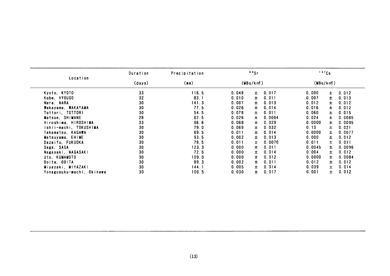| Location                  | Duration | Precipitation | 90Sr     |                 |        | 137Cs           |
|---------------------------|----------|---------------|----------|-----------------|--------|-----------------|
|                           | (days)   | (mn)          | (WBq/km) |                 |        | (MBq/km)        |
| Kyoto, KYOTO              | 33       | 116.5         | 0.048    | 0.017<br>±      | 0.000  | 0.012<br>±.     |
| Kobe, HYOUGO              | 32       | 83.1          | 0.010    | $\pm$<br>0.011  | 0.007  | 0.013<br>±.     |
| Nara, NARA                | 30       | 141.3         | 0.007    | 士<br>0.013      | 0.012  | 土<br>0.012      |
| Wakayama, WAKAYAMA        | 30       | 77.5          | 0.026    | $\pm$<br>0.014  | 0.016  | Ŧ<br>0.012      |
| Tottori, TOTTORI          | 30       | 54.5          | 0.078    | $\pm$<br>0.011  | 0.060  | $\pm$<br>0.015  |
| Matsue, SHIMANE           | 28       | 62.5          | 0.026    | $\pm$<br>0.0064 | 0.024  | Ŧ.<br>0.0085    |
| Hiroshima, HIROSHIMA      | 33       | 96.6          | 0.068    | $\pm$<br>0.029  | 0.0000 | $\pm$<br>0.0095 |
| Ishii-machi, TOKUSHIMA    | 30       | 79.0          | 0.069    | $\pm$<br>0.032  | 0.13   | 土<br>0.021      |
| Takamatsu, KAGAWA         | 30       | 69.5          | 0.011    | ±<br>0.014      | 0.0000 | Ŧ<br>0.0077     |
| Matsuyama, EHIME          | 30       | 93.5          | 0.002    | $\pm$<br>0.013  | 0.000  | 土<br>0.012      |
| Dazaifu, FUKUOKA          | 30       | 79.5          | 0.011    | $\pm$<br>0.0070 | 0.011  | 土<br>0.011      |
| Saga, SAGA                | 30       | 123.3         | 0.000    | $\pm$<br>0.011  | 0.0045 | Ŧ<br>0.0096     |
| Nagasaki, NAGASAKI        | 30       | 72.5          | 0.000    | 0.014<br>士      | 0.004  | 0.012<br>±.     |
| Uto, KUMAMOTO             | 30       | 109.0         | 0.000    | $\pm$<br>0.012  | 0.0000 | Ŧ.<br>0.0084    |
| Ooita, OOITA              | 30       | 89.3          | 0.002    | $\pm$<br>0.011  | 0.012  | $\pm$<br>0.012  |
| Miyazaki, MIYAZAKI        | 30       | 144.1         | 0.005    | $\pm$<br>0.014  | 0.039  | $\pm$<br>0.014  |
| Yonagusuku-machi, Okinawa | 30       | 100.5         | 0.030    | Ŧ.<br>0.017     | 0.001  | $\pm$<br>0.012  |
|                           |          |               |          |                 |        |                 |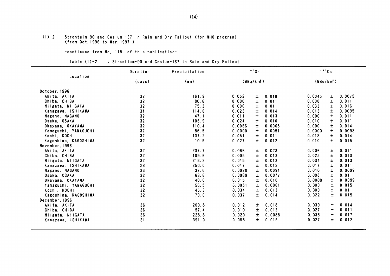#### (1)-2 Strontuim-90 and Cesium-137in Rain and Dry Fal10ut(for YHO program) (from Oct. 1996 to Mar. 1997)

-COntinued fron No.118 0f this publication-

#### Table (1)-2 : Strontium-90 and Cesium-137 in Rain and Dry Fallout

|                      | Duration | Precipitation | 90Sr   |          |        |          | 137Cs |        |  |
|----------------------|----------|---------------|--------|----------|--------|----------|-------|--------|--|
| Location             | (days)   | (mm)          |        | (MBq/km) |        | (MBq/km) |       |        |  |
| October, 1996        |          |               |        |          |        |          |       |        |  |
| Akita, AKITA         | 32       | 161.9         | 0.052  | 士        | 0.018  | 0.0045   | ±.    | 0.0075 |  |
| Chiba, CHIBA         | 32       | 80.6          | 0.000  | 士        | 0.011  | 0.000    | 士     | 0.011  |  |
| Niigata, NIIGATA     | 32       | 75.3          | 0.000  | $\pm$    | 0.011  | 0.033    | ±.    | 0.016  |  |
| Kanazawa, ISHIKAWA   | 31       | 114.0         | 0.023  | $\pm$    | 0.014  | 0.013    | $\pm$ | 0.0095 |  |
| Nagano, NAGANO       | 32       | 47.1          | 0.011  | $\pm$    | 0.013  | 0.000    | 士     | 0.011  |  |
| Osaka, OSAKA         | 32       | 106.9         | 0.024  | $\pm$    | 0.010  | 0.010    | Ŧ.    | 0.011  |  |
| Okayama, OKAYAMA     | 32       | 110.4         | 0.0086 | 士        | 0.0065 | 0.000    | Ŧ     | 0.014  |  |
| Yamaguchi, YAMAGUCH! | 32       | 56.5          | 0.0000 | $\pm$    | 0.0051 | 0.0000   | $\pm$ | 0.0093 |  |
| Kochi, KOCHI         | 32       | 137.2         | 0.051  | $\pm$    | 0.011  | 0.018    | $\pm$ | 0.014  |  |
| Kagoshima, KAGOSHIMA | 32       | 10.5          | 0.027  | $\pm$    | 0.012  | 0.010    | $\pm$ | 0.015  |  |
| November, 1996       |          |               |        |          |        |          |       |        |  |
| Akita, AKITA         | 32       | 237.7         | 0.066  | 土        | 0.023  | 0.006    | ±.    | 0.011  |  |
| Chiba, CHIBA         | 32       | 109.6         | 0.005  | $\pm$    | 0.013  | 0.025    | Ŧ     | 0.013  |  |
| Niigata, NIIGATA     | 32       | 218.2         | 0.015  | $\pm$    | 0.013  | 0.034    | 士     | 0.013  |  |
| Kanazawa, ISHIKAWA   | 28       | 250.0         | 0.017  | 土        | 0.012  | 0.017    | 士     | 0.011  |  |
| Nagano, NAGANO       | 33       | 37.6          | 0.0020 | 士        | 0.0091 | 0.010    | ±.    | 0.0099 |  |
| Osaka, OSAKA         | 32       | 63.6          | 0.0089 | $\pm$    | 0.0077 | 0.008    | Ŧ     | 0.011  |  |
| Okayama, OKAYAMA     | 32       | 40.0          | 0.015  | $\pm$    | 0.010  | 0.0000   | $\pm$ | 0.0099 |  |
| Yamaguchi, YAMAGUCHI | 32       | 56.5          | 0.0051 | 士        | 0.0061 | 0.000    | 土     | 0.015  |  |
| Kochi, KOCHI         | 32       | 45.3          | 0.034  | Ŧ        | 0.013  | 0.000    | 士     | 0.011  |  |
| Kagoshima, KAGOSHIMA | 32       | 79.0          | 0.037  | Ŧ        | 0.014  | 0.022    | Ŧ.    | 0.015  |  |
| December, 1996       |          |               |        |          |        |          |       |        |  |
| Akita, AKITA         | 36       | 200.8         | 0.012  | ±.       | 0.018  | 0.039    | ±.    | 0.014  |  |
| Chiba, CHIBA         | 36       | 57.4          | 0.010  | ±.       | 0.012  | 0.027    | ±     | 0.011  |  |
| Niigata, NIIGATA     | 36       | 228.8         | 0.029  | Ŧ.       | 0.0088 | 0.035    | 土     | 0.017  |  |
| Kanazawa, ISHIKAWA   | 31       | 391.0         | 0.055  | ±.       | 0.016  | 0.027    | Ŧ     | 0.012  |  |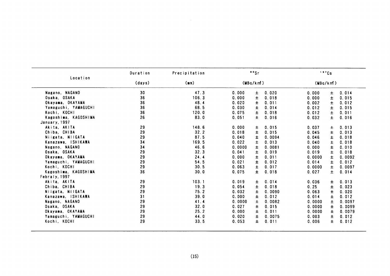| Location             | Duration | Precipitation |        | 99Sr     |        | 137Cs    |       |        |
|----------------------|----------|---------------|--------|----------|--------|----------|-------|--------|
|                      | (days)   | (mn)          |        | (MBq/km) |        | (MBq/km) |       |        |
| Nagano, NAGANO       | 30       | 47.3          | 0.000  | 土        | 0.020  | 0.000    | Ŧ.    | 0.014  |
| Osaka, OSAKA         | 36       | 106.3         | 0.000  | $\pm$    | 0.018  | 0.000    | Ŧ     | 0.015  |
| Okayama, OKAYAMA     | 36       | 48.4          | 0.020  | 士        | 0.011  | 0.002    | $\pm$ | 0.012  |
| Yamaguchi, YAMAGUCHI | 36       | 68.5          | 0.030  | $\pm$    | 0.014  | 0.012    | $\pm$ | 0.015  |
| Kochi, KOCHI         | 36       | 120.0         | 0.075  | $\pm$    | 0.018  | 0.012    | $\pm$ | 0.011  |
| Kagoshima, KAGOSHIMA | 26       | 83.0          | 0.051  | Ŧ.       | 0.016  | 0.032    | $\pm$ | 0.016  |
| January, 1997        |          |               |        |          |        |          |       |        |
| Akita, AKITA         | 29       | 148.6         | 0.000  | $\pm$    | 0.015  | 0.037    | Ŧ     | 0.013  |
| Chiba, CHIBA         | 29       | 32.2          | 0.018  | 士        | 0.015  | 0.045    | Ŧ.    | 0.013  |
| Niigata, NIIGATA     | 29       | 87.5          | 0.040  | 士        | 0.0094 | 0.046    | Ŧ     | 0.018  |
| Kanazawa, ISHIKAWA   | 34       | 169.5         | 0.022  | 土        | 0.013  | 0.040    | $\pm$ | 0.018  |
| Nagano, NAGANO       | 34       | 46.6          | 0.0000 | $\pm$    | 0.0081 | 0.000    | Ŧ     | 0.010  |
| Osaka, OSAKA         | 29       | 32.3          | 0.041  | $\pm$    | 0.019  | 0.019    | 士     | 0.018  |
| Okayama, OKAYAMA     | 29       | 24.4          | 0.000  | $\pm$    | 0.011  | 0.0000   | $\pm$ | 0.0092 |
| Yamaguchi, YAMAGUCHI | 29       | 54.5          | 0.021  | $\pm$    | 0.012  | 0.014    | Ŧ     | 0.012  |
| Kochi, KOCHI         | 29       | 30.5          | 0.063  | $\pm$    | 0.017  | 0.0000   | $\pm$ | 0.0097 |
| Kagoshima, KAGOSHIMA | 36       | 30.0          | 0.075  | Ŧ        | 0.018  | 0.027    | $\pm$ | 0.014  |
| Febraly, 1997        |          |               |        |          |        |          |       |        |
| Akita. AKITA         | 29       | 103.1         | 0.019  | 土        | 0.014  | 0.036    | 士     | 0.013  |
| Chiba, CHIBA         | 29       | 19.3          | 0.054  | 士        | 0.018  | 0.25     | 士     | 0.023  |
| Niigata, NIIGATA     | 29       | 75.2          | 0.032  | 土        | 0.0090 | 0.063    | 士     | 0.020  |
| Kanazawa, ISHIKAWA   | 31       | 39.0          | 0.000  | Ŧ        | 0.012  | 0.014    | 士     | 0.012  |
| Nagano, NAGANO       | 29       | 41.4          | 0.0000 | Ŧ        | 0.0082 | 0.0000   | 士     | 0.0097 |
| Osaka, OSAKA         | 29       | 32.0          | 0.027  | Ŧ        | 0.015  | 0.0000   | $\pm$ | 0.0099 |
| Okayama, OKAYAMA     | 29       | 25.2          | 0.000  | $\pm$    | 0.011  | 0.0000   | $\pm$ | 0.0079 |
| Yamaguchi, YAMAGUCHI | 29       | 44.0          | 0.020  |          | 0.0075 |          |       | 0.012  |
| Kochi, KOCHI         | 29       |               |        | 士        |        | 0.003    | $\pm$ |        |
|                      |          | 33.5          | 0.053  | Ŧ.       | 0.011  | 0.006    | Ŧ     | 0.012  |

 $\sim 10^{-11}$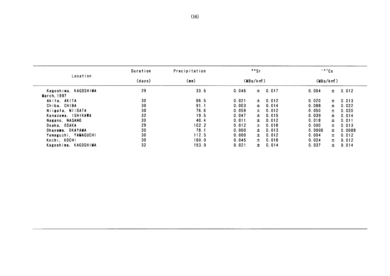| Location             |        |       |       | "Sr      |       |          | 137Cs |        |
|----------------------|--------|-------|-------|----------|-------|----------|-------|--------|
|                      | (days) | (mn)  |       | (MBq/km) |       | (MBq/km) |       |        |
| Kagoshima, KAGOSHIMA | 29     | 33.5  | 0.046 | $\pm$    | 0.017 | 0.004    | $\pm$ | 0.012  |
| March, 1997          |        |       |       |          |       |          |       |        |
| Akita, AKITA         | 30     | 66.5  | 0.021 | 士        | 0.012 | 0.020    | $\pm$ | 0.013  |
| Chiba, CHIBA         | 30     | 91.1  | 0.003 | $\pm$    | 0.014 | 0.088    | $\pm$ | 0.022  |
| Niigata, NIIGATA     | 30     | 76.6  | 0.059 | ±.       | 0.012 | 0.050    | 土     | 0.020  |
| Kanazawa, ISHIKAWA   | 32     | 19.5  | 0.047 | ±.       | 0.015 | 0.039    | $\pm$ | 0.014  |
| Nagano, NAGANO       | 30     | 40.4  | 0.011 | ±.       | 0.012 | 0.018    | $\pm$ | 0.011  |
| Osaka, OSAKA         | 29     | 102.2 | 0.012 | ±.       | 0.018 | 0.000    | ±.    | 0.013  |
| Okayama, OKAYAMA     | 30     | 78.1  | 0.000 | ±.       | 0.013 | 0.0000   | ±.    | 0.0088 |
| Yamaguchi, YAMAGUCHI | 30     | 112.5 | 0.000 | $\pm$    | 0.012 | 0.004    | $\pm$ | 0.012  |
| Kochi, KOCHI         | 30     | 160.0 | 0.045 | $\pm$    | 0.018 | 0.024    | $\pm$ | 0.012  |
| Kagoshima, KAGOSHIMA | 32     | 153.0 | 0.021 | $\pm$    | 0.014 | 0.037    | 士。    | 0.014  |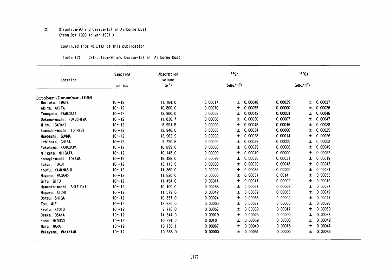#### $(2)$ Strontium-90 and Cesium-137 in Airborne Dust (from Oct. 1996 to Mar. 1997 )

#### -continued from No.118 of this publication-

#### :Strontium-90 and Cesium-137 in Airborne Dust Table (2)

| Location                | Sampling  | Absorption<br>volume |         | 9 <sup>9</sup> Sr     |         |         | 137Cs                 |         |
|-------------------------|-----------|----------------------|---------|-----------------------|---------|---------|-----------------------|---------|
|                         | period    | (m <sup>2</sup> )    |         | (mBq/m <sup>3</sup> ) |         |         | (mBq/m <sup>3</sup> ) |         |
|                         |           |                      |         |                       |         |         |                       |         |
| October~December,1996   |           |                      |         |                       |         |         |                       |         |
| Morioka, IWATE          | $10 - 12$ | 11, 184.0            | 0.00017 | ±.                    | 0.00048 | 0.00029 | 士                     | 0.00037 |
| Akita, AKITA            | $10 - 12$ | 10,800.0             | 0.00070 | Ŧ.                    | 0.00055 | 0.00000 | 士                     | 0.00026 |
| Yamagata, YAMAGATA      | $10 - 12$ | 12, 960.0            | 0.00053 | 士                     | 0.00042 | 0.00054 | 土                     | 0.00046 |
| Ookuma-machi, FUKUSHIMA | $10 - 12$ | 11, 836.7            | 0.00000 | 土                     | 0.00030 | 0.00067 | 土                     | 0.00047 |
| Mito, IBARAKI           | $10 - 12$ | 8,991.5              | 0.00000 | 士                     | 0.00048 | 0.00046 | 土                     | 0.00038 |
| Kawachi-machi, TOCHIGI  | $10 - 12$ | 13, 946.0            | 0.00000 | 士                     | 0.00034 | 0.00006 | ±.                    | 0.00025 |
| Maebashi, GUNMA         | $10 - 12$ | 13, 962.9            | 0.00000 | 士                     | 0.00038 | 0.00014 | 士                     | 0.00026 |
| Ichihara, CHIBA         | $10 - 12$ | 9,720.6              | 0.00000 | 士                     | 0.00032 | 0.00000 | ±.                    | 0.00053 |
| Yokohama, KANAGAWA      | $10 - 12$ | 10,899.0             | 0.00000 | 土                     | 0.00029 | 0.00000 | 土                     | 0.00049 |
| Niigata, NIIGATA        | $10 - 12$ | 10, 145.0            | 0.00000 | 士                     | 0.00040 | 0.00000 | 士                     | 0.00052 |
| Kosugi-machi, TOYAMA    | $10 - 12$ | 18, 488.0            | 0.00026 | 士                     | 0.00030 | 0.00031 | 士                     | 0.00019 |
| Fukui, FUKUI            | $10 - 12$ | 13, 113.9            | 0.00030 | 士                     | 0.00029 | 0.00048 | ±.                    | 0.00043 |
| Koufu, YAMANASHI        | $10 - 12$ | 14, 360.0            | 0.00000 | 士                     | 0.00035 | 0.00000 | 士                     | 0.00024 |
| Nagano, NAGANO          | $10 - 12$ | 11,820.0             | 0.00000 | 士                     | 0.00037 | 0.0014  | 士                     | 0.00053 |
| Gifu, GIFU              | $10 - 12$ | 11, 454.0            | 0.00011 | 士                     | 0.00041 | 0.00000 | 士                     | 0.00049 |
| Hamaoka-machi, SHIZUOKA | $10 - 12$ | 10, 100.0            | 0.00036 | 土                     | 0.00057 | 0.00008 | 土                     | 0.00037 |
| Nagoya, AICHI           | $10 - 12$ | 11,579.0             | 0.00042 | 士                     | 0.00032 | 0.00063 | 士                     | 0.00049 |
| Ootsu, SHIGA            | $10 - 12$ | 10, 857.0            | 0.00024 | 土                     | 0.00033 | 0.00000 | 土                     | 0.00047 |
| Tsu, MIE                | $10 - 12$ | 13,680.0             | 0.00000 | 土                     | 0.00037 | 0.00000 | 土                     | 0.00028 |
| Kyoto, KYOTO            | $10 - 12$ | 9,778.0              | 0.00057 | ±                     | 0.00039 | 0.00017 | 士                     | 0.00060 |
| Osaka, OSAKA            | $10 - 12$ | 14, 344.0            | 0.00019 | ±                     | 0.00025 | 0.00000 | 土                     | 0.00033 |
| Kobe, HYOUGO            | $10 - 12$ | 10, 291.0            | 0.0010  | 土                     | 0.00059 | 0.00000 | 土                     | 0.00049 |
| Nara, NARA              | $10 - 12$ | 10, 786.1            | 0.00067 | 士                     | 0.00049 | 0.00018 | 士                     | 0.00047 |
| Wakayama, WAKAYAMA      | $10 - 12$ | 10, 368.0            | 0.00000 | 土                     | 0.00051 | 0.00000 | 士                     | 0.00033 |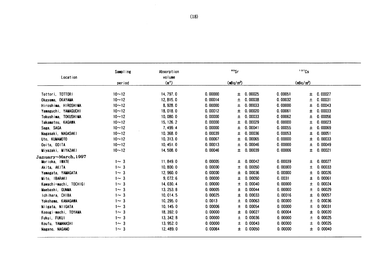| Location               | Sampling   | Absorption<br>volume |         | 90Sr                  |         | 137Cs                 |  |
|------------------------|------------|----------------------|---------|-----------------------|---------|-----------------------|--|
|                        | period     | (m <sup>2</sup> )    |         | (mBq/m <sup>3</sup> ) |         | (mBq/m <sup>3</sup> ) |  |
|                        |            |                      |         |                       |         |                       |  |
| Tottori, TOTTORI       | $10 - 12$  | 14, 797.0            | 0.00000 | 0.00025<br>±.         | 0.00051 | 0.00027<br>士          |  |
| Okayama, OKAYAMA       | $10 - 12$  | 12, 815.0            | 0.00014 | 0.00038<br>土          | 0.00032 | 0.00031<br>土          |  |
| Hiroshima, HIROSHIMA   | $10 - 12$  | 8,928.0              | 0.00000 | 0.00033<br>土          | 0.00000 | 0.00043<br>士          |  |
| Yamaguchi, YAMAGUCHI   | $10 - 12$  | 18,018.0             | 0.00012 | 0.00020<br>士          | 0.00061 | 0.00033<br>±          |  |
| Tokushima, TOKUSHIMA   | $10 - 12$  | 10,080.0             | 0.00000 | 0.00033<br>土          | 0.00062 | 0.00056<br>土          |  |
| Takamatsu, KAGAWA      | $10 - 12$  | 15, 126. 2           | 0.00000 | 0.00029<br>士          | 0.00000 | 0.00023<br>士          |  |
| Saga, SAGA             | $10 - 12$  | 7, 499.4             | 0.00000 | 0.00041<br>士          | 0.00055 | 0.00069<br>±          |  |
| Nagasaki, NAGASAKI     | $10 - 12$  | 10, 368.0            | 0.00039 | 0.00036<br>±          | 0.00053 | 0.00051<br>士          |  |
| Uto, KUMAMOTO          | $10 - 12$  | 10, 313.0            | 0.00067 | 0.00065<br>士          | 0.00000 | ±<br>0.00033          |  |
| Ooita, OOITA           | $10 - 12$  | 10, 451.0            | 0.00013 | 0.00046<br>士          | 0.00000 | 0.00049<br>士          |  |
| Miyazaki, MIYAZAKI     | $10 - 12$  | 14, 508.0            | 0.00046 | 0.00039<br>土          | 0.00006 | 0.00021<br>士          |  |
| January~March, 1997    |            |                      |         |                       |         |                       |  |
| Morioka, IWATE         | $1 - 3$    | 11, 849.0            | 0.00005 | 0.00042<br>Ŧ.         | 0.00039 | 0.00027<br>士          |  |
| Akita, AKITA           | $1 - 3$    | 10, 800.0            | 0.00000 | 0.00050<br>士          | 0.00000 | 0.00033<br>土          |  |
| Yamagata, YAMAGATA     | $1 \sim 3$ | 12, 960.0            | 0.00000 | 0.00036<br>土          | 0.00000 | 0.00026<br>士          |  |
| Mito, IBARAKI          | $1 - 3$    | 9,072.6              | 0.00000 | 0.00050<br>士          | 0.0031  | 0.00061<br>Ŧ.         |  |
| Kawachi-machi, TOCHIGI | $1 - 3$    | 14, 030.4            | 0.00000 | 0.00040<br>土          | 0.00000 | 0.00024<br>土          |  |
| Maebashi, GUNMA        | $1 - 3$    | 13, 253.8            | 0.00005 | 0.00044<br>±          | 0.00000 | 0.00029<br>土          |  |
| Ichihara, CHIBA        | $1 - 3$    | 10, 014.5            | 0.00025 | 0.00033<br>士          | 0.00016 | 0.00057<br>士          |  |
| Yokohama, KANAGAWA     | $1 \sim 3$ | 10, 295.0            | 0.0013  | 0.00063<br>±          | 0.00000 | 0.00036<br>士          |  |
| Niigata, NIIGATA       | $1 - 3$    | 10, 145, 0           | 0.00006 | 0.00054<br>士          | 0.00000 | 0.00031<br>土          |  |
| Kosugi-machi, TOYAMA   | $1 - 3$    | 18, 392.0            | 0.00000 | 0.00027<br>±          | 0.00004 | 0.00020<br>±          |  |
| Fukui, FUKUI           | $1 - 3$    | 13, 342. 8           | 0.00000 | 0.00036<br>士          | 0.00000 | 0.00025<br>土          |  |
| Koufu, YAMANASHI       | $1 - 3$    | 13, 952.0            | 0.00000 | 0.00043<br>土          | 0.00000 | 0.00025<br>土          |  |
| Nagano, NAGANO         | $1 - 3$    | 12, 489.0            | 0.00064 | 0.00050<br>±          | 0.00000 | 0.00040<br>±.         |  |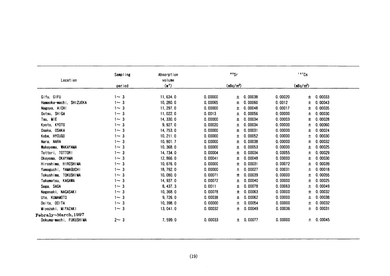| Location                | Sampling   | Absorption<br>volume |         | 90Sr                  |           |         | 137Cs       |         |
|-------------------------|------------|----------------------|---------|-----------------------|-----------|---------|-------------|---------|
|                         | period     | $(\mathbb{n}^2)$     |         | (mBq/m <sup>3</sup> ) |           |         | $(mBq/m^3)$ |         |
| Gifu, GIFU              | $1 - 3$    | 11,634.0             | 0.00000 | Ŧ                     | 0.00038   | 0.00020 | 土           | 0.00033 |
| Hamaoka-machi, SHIZUOKA | $1 - 3$    | 10, 280.0            | 0.00065 | 士                     | 0.00060   | 0.0012  | Ŧ           | 0.00043 |
| Nagoya, AICHI           | $1 - 3$    | 11, 297.0            | 0.00000 | Ŧ.                    | 0.00048   | 0.00017 | Ŧ.          | 0.00035 |
| Ootsu, SHIGA            | $1 - 3$    | 11,022.0             | 0.0013  | Ŧ                     | 0.00056   | 0.00000 | Ŧ           | 0.00030 |
| Tsu, MIE                | $1 - 3$    | 14, 330.0            | 0.00000 | ±                     | 0.00034   | 0.00003 | Ŧ.          | 0.00028 |
| Kyoto, KYOTO            | $1 - 3$    | 9, 927.0             | 0.00020 | 士                     | 0.00034   | 0.00000 | Ŧ           | 0.00060 |
| Osaka, OSAKA            | $1 - 3$    | 14, 753.0            | 0.00000 | Ŧ                     | 0.00031   | 0.00000 | Ŧ           | 0.00024 |
| Kobe, HYOUGO            | $1 - 3$    | 10, 211.0            | 0.00000 | Ŧ                     | 0.00052   | 0.00000 | 土           | 0.00030 |
| Nara, NARA              | $1 - 3$    | 10, 801.7            | 0.00000 | ±                     | 0.00038   | 0.00000 | 土           | 0.00032 |
| Wakayama, WAKAYAMA      | $1 - 3$    | 10, 368.0            | 0.00000 | Ŧ                     | 0.00053   | 0.00000 | Ŧ           | 0.00025 |
| Tottori, TOTTOR!        | $1 - 3$    | 14, 734.0            | 0.00004 | Ŧ                     | 0.00034   | 0.00055 | Ŧ           | 0.00029 |
| Okayama, OKAYAMA        | $1 - 3$    | 12,866.0             | 0.00041 | ±                     | 0.00048   | 0.00000 | 土           | 0.00030 |
| Hiroshima, HIROSHIMA    | $1 - 3$    | 10,676.0             | 0.00000 | 士                     | 0.00031   | 0.00072 | Ŧ.          | 0.00039 |
| Yamaguchi, YAMAGUCHI    | $1 - 3$    | 18, 792.0            | 0.00000 | 土                     | 0.00027   | 0.00031 | 土           | 0.00018 |
| Tokushima, TOKUSHIMA    | $1 - 3$    | 10,080.0             | 0.00071 | 士                     | 0.00039   | 0.00000 | Ŧ.          | 0.00055 |
| Takamatsu, KAGAWA       | $1 - 3$    | 14, 937.0            | 0.00072 | 土                     | 0.00040   | 0.00000 | Ŧ           | 0.00025 |
| Saga, SAGA              | $1 \sim 3$ | 8, 437.3             | 0.0011  | ±                     | 0.00078   | 0.00063 | Ŧ           | 0.00049 |
| Nagasaki, NAGASAKI      | $1 - 3$    | 10,368.0             | 0.00078 | 士                     | 0.00063   | 0.00000 | 士           | 0.00032 |
| Uto, KUMAMOTO           | $1 - 3$    | 9,726.0              | 0.00038 | ±                     | 0.00062   | 0.00000 | Ŧ           | 0.00038 |
| Ooita, OOITA            | $1 \sim 3$ | 10, 398.0            | 0.00000 | $\pm$                 | 0.00054   | 0.00000 | Ŧ           | 0.00032 |
| Miyazaki, MIYAZAKI      | $1 - 3$    | 13,041.0             | 0.00032 | ±.                    | 0.00049   | 0.00036 | Ŧ           | 0.00031 |
| Febraly~March, 1997     |            |                      |         |                       |           |         |             |         |
| Ookuma-machi, FUKUSHIMA | $2 - 3$    | 7,599.0              | 0.00033 |                       | ± 0.00077 | 0.00000 | 土           | 0.00045 |
|                         |            |                      |         |                       |           |         |             |         |
|                         |            |                      |         |                       |           |         |             |         |
|                         |            |                      | (19)    |                       |           |         |             |         |
|                         |            |                      |         |                       |           |         |             |         |
|                         |            |                      |         |                       |           |         |             |         |
|                         |            |                      |         |                       |           |         |             |         |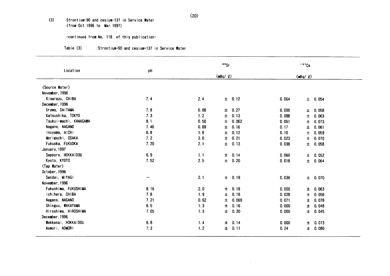#### $(3)$ Strontium-90 and cesium-137 in Service Water (from Oct. 1996 to Mar. 1997)

## -continued from No, 118 of this publication-

#### $Table (3)$ :Strontium-90 and cesium-137 in Service Water

|                        |                 |      | $\cdot$ $\cdot$ |            |       | 137Cs        |             |
|------------------------|-----------------|------|-----------------|------------|-------|--------------|-------------|
| Location               | pH              |      | (mBq/2)         |            |       | $(mBq/$ $Q)$ |             |
| (Source Water)         |                 |      |                 |            |       |              |             |
| November, 1996         |                 |      |                 |            |       |              |             |
| Kisarazu, CHIBA        | 7.4             | 2.4  |                 | $\pm$ 0.12 | 0.064 |              | ± 0.054     |
| December, 1996         |                 |      |                 |            |       |              |             |
| Urawa, SAITAMA         | 7.8             | 0.08 | 士               | 0.27       | 0.000 | $\pm$        | 0.058       |
| Katsushika, TOKYO      | 7.3             | 1.2  | 土               | 0.13       | 0.088 | $\pm$        | 0.063       |
| Tsukui-machi, KANAGAWA | 8.1             | 0.50 | 士               | 0.062      | 0.051 | $\pm$        | 0.073       |
| Nagano, NAGANO         | 7.46            | 0.89 | 士               | 0.16       | 0.17  | ±.           | 0.061       |
| Inuyama, AICHI         | 6.8             | 1.8  | ±.              | 0.12       | 0.10  | 土            | 0.059       |
| Moriguchi, OSAKA       | 7.2             | 3.0  | Ŧ.              | 0.21       | 0.023 | $\pm$        | 0.070       |
| Fukuoka, FUKUOKA       | 7.20            | 2.1  | Ŧ.              | 0.13       | 0.038 |              | $\pm$ 0.058 |
| January, 1997          |                 |      |                 |            |       |              |             |
| Sapporo, HOKKAIDOU     | 6.9             | 1.1  |                 | ± 0.14     | 0.060 |              | ± 0.052     |
| Kyoto, KYOTO           | 7.52            | 2.5  |                 | $\pm$ 0.20 | 0.018 |              | ± 0.064     |
| (Tap Water)            |                 |      |                 |            |       |              |             |
| October, 1996          |                 |      |                 |            |       |              |             |
| Sendai, MIYAGI         | $\qquad \qquad$ | 2.1  |                 | ± 0.19     | 0.036 |              | $\pm$ 0.070 |
| November, 1996         |                 |      |                 |            |       |              |             |
| Fukushima, FUKUSHIMA   | 8.16            | 2.0  | 土               | 0.18       | 0.000 | $\pm$        | 0.063       |
| Ichihara, CHIBA        | 7.8             | 1.9  | 士               | 0.18       | 0.028 | ±.           | 0.056       |
| Nagano, NAGANO         | 7.21            | 0.62 | ±.              | 0.069      | 0.071 | Ŧ.           | 0.078       |
| Shinguu, WAKAYAMA      | 6.5             | 1.3  | ±.              | 0.16       | 0.000 | $\pm$        | 0.048       |
| Hiroshima, HIROSHIMA   | 7.05            | 1.3  | ±.              | 0.20       | 0.000 |              | ± 0.045     |
| December, 1996         |                 |      |                 |            |       |              |             |
| Wakkanai, HOKKAIDOU    | 6.8             | 1.4  | 士               | 0.14       | 0.000 | $\pm$        | 0.073       |
| Aomori, AOMORI         | 7.2             | 1.2  | ±.              | 0.11       | 0.24  | ±.           | 0.080       |

 $\sim$   $\epsilon$ 

 $(20)$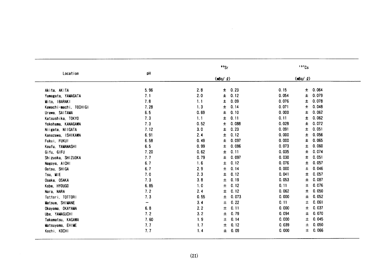|                        |      |      | ${}^{90}$ Sr  |       | 137Cs         |  |
|------------------------|------|------|---------------|-------|---------------|--|
| Location               | pH   |      | $(mBq/ \ell)$ |       | $(mBq/ \ell)$ |  |
| Akita, AKITA           | 5.96 | 2.8  | 0.23<br>$\pm$ | 0.15  | 0.064<br>±.   |  |
| Yamagata, YAMAGATA     | 7.1  | 2.0  | Ŧ<br>0.12     | 0.054 | 0.079<br>Ŧ    |  |
| Mito. IBARAKI          | 7.8  | 1.1  | 0.09<br>±     | 0.076 | 0.078<br>±    |  |
| Kawachi-machi, TOCHIGI | 7.28 | 1.3  | 0.14<br>士     | 0.071 | 0.048<br>士    |  |
| Urawa, SAITAMA         | 6.5  | 0.69 | 0.10<br>土     | 0.000 | 0.062<br>士    |  |
| Katsushika, TOKYO      | 7.3  | 1.1  | 0.11<br>士     | 0.11  | 0.062<br>士    |  |
| Yokohama, KANAGAWA     | 7.3  | 0.52 | 0.088<br>士    | 0.028 | 0.072<br>士    |  |
| Niigata, NIIGATA       | 7.12 | 3.0  | 0.23<br>士     | 0.091 | 0.051<br>士    |  |
| Kanazawa, ISHIKAWA     | 6.91 | 2.4  | 0.12<br>Ŧ     | 0.000 | 0.056<br>土    |  |
| Fukui, FUKUI           | 6.58 | 0.49 | Ŧ.<br>0.097   | 0.000 | 0.065<br>±    |  |
| Koufu, YAMANASHI       | 6.5  | 0.99 | 0.086<br>±.   | 0.073 | 0.060<br>±    |  |
| Gifu, GIFU             | 7.20 | 0.62 | 0.11<br>土     | 0.035 | 0.074<br>士    |  |
| Shizuoka, SHIZUOKA     | 7.7  | 0.79 | 0.097<br>土    | 0.030 | 0.051<br>士    |  |
| Nagoya, AICHI          | 6.7  | 1.6  | 0.12<br>±.    | 0.076 | 0.057<br>士    |  |
| Ootsu, SHIGA           | 6.7  | 2.9  | 0.14<br>Ŧ.    | 0.000 | 0.046<br>士    |  |
| Tsu, MIE               | 7.0  | 2.3  | 0.12<br>Ŧ     | 0.041 | 0.057<br>士    |  |
| Osaka, OSAKA           | 7.3  | 3.8  | 0.19<br>土     | 0.053 | 0.087<br>士    |  |
| Kobe, HYOUGO           | 6.85 | 1.0  | 0.12<br>士     | 0.11  | 0.076<br>Ŧ    |  |
| Nara, NARA             | 7.2  | 2.4  | Ŧ<br>0.12     | 0.062 | 0.050<br>±    |  |
| Tottori, TOTTORI       | 7.3  | 0.55 | 0.073<br>±    | 0.000 | 0.052<br>士    |  |
| Matsue, SHIMANE        | -    | 3.4  | 0.22<br>士     | 0.11  | 0.061<br>士    |  |
| Okayama, OKAYAMA       | 6.8  | 2.2  | 土<br>0.11     | 0.000 | 0.037<br>±.   |  |
| Ube, YAMAGUCHI         | 7.2  | 3.2  | 0.79<br>士     | 0.094 | 0.070<br>±.   |  |
| Takamatsu, KAGAWA      | 7.60 | 1.9  | 土<br>0.14     | 0.000 | 0.045<br>±.   |  |
| Matsuyama, EHIME       | 7.7  | 1.7  | Ŧ<br>0.12     | 0.039 | 0.050<br>士    |  |
| Kochi, KOCHI           | 7.7  | 1.4  | 0.09<br>士     | 0.000 | 0.066<br>土    |  |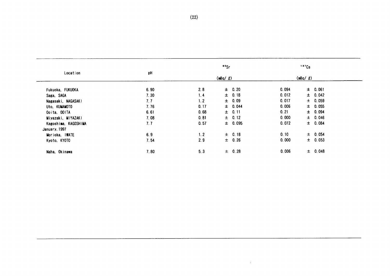|                      |      |      | ${}^{\circ}$ <sup>o</sup> Sr |       | $137$ Cs    |  |
|----------------------|------|------|------------------------------|-------|-------------|--|
| Location             | pH   |      | (mBq/2)                      |       | (mBq / g)   |  |
| Fukuoka, FUKUOKA     | 6.90 | 2.8  | $\pm$ 0.20                   | 0.094 | $\pm$ 0.061 |  |
| Saga, SAGA           | 7.30 | 1.4  | $\pm 0.18$                   | 0.012 | ± 0.042     |  |
| Nagasaki, NAGASAKI   | 7.7  | 1.2  | $\pm$ 0.09                   | 0.017 | $\pm$ 0.059 |  |
| Uto, KUMAMOTO        | 7.76 | 0.17 | $\pm$ 0.044                  | 0.006 | $\pm$ 0.055 |  |
| Ooita, OOITA         | 6.61 | 0.68 | ± 0.11                       | 0.21  | ± 0.094     |  |
| Miyazaki, MIYAZAKI   | 7.08 | 0.81 | $\pm$ 0.12                   | 0.000 | ± 0.046     |  |
| Kagoshima, KAGOSHIMA | 7.7  | 0.57 | $\pm$ 0.095                  | 0.072 | ± 0.084     |  |
| January, 1997        |      |      |                              |       |             |  |
| Morioka, IWATE       | 6.9  | 1.2  | $\pm$ 0.18                   | 0.10  | ± 0.054     |  |
| Kyoto, KYOTO         | 7.54 | 2.9  | $\pm$ 0.26                   | 0.000 | $\pm$ 0.053 |  |
| Naha, Okinawa        | 7.80 | 5.3  | $\pm$ 0.28                   | 0.006 | ± 0.048     |  |

 $\sim 40^{\circ}$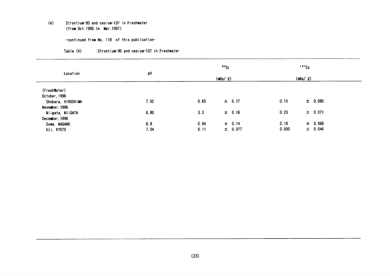#### Strontium-90 and cesium-137 in Freshwater  $(4)$ (from Oct. 1996 to Mar. 1997)

-continued from No, 118 of this publication-

| Table (4) | :Strontium-90 and cesium-137 in Freshwater |  |  |
|-----------|--------------------------------------------|--|--|
|           |                                            |  |  |

|                    |      |      | ${}^{\circ}$ °Sr |       | 137Cs          |  |
|--------------------|------|------|------------------|-------|----------------|--|
| Location           | pH   |      | $(mBq / \ell)$   |       | $(mBq / \ell)$ |  |
| (FreshWater)       |      |      |                  |       |                |  |
| October, 1996      |      |      |                  |       |                |  |
| Shobara, HIROSHIMA | 7.02 | 0.65 | $\pm$ 0.17       | 0.10  | ± 0.080        |  |
| November, 1996     |      |      |                  |       |                |  |
| Niigata, NiiGATA   | 6.80 | 3.3  | ± 0.16           | 0.23  | $\pm$ 0.071    |  |
| December, 1996     |      |      |                  |       |                |  |
| Suwa, NAGANO       | 6.8  | 0.94 | $\pm$ 0.14       | 0.18  | $\pm$ 0.068    |  |
| Uji, KYOTO         | 7.04 | 0.11 | $\pm$ 0.077      | 0.000 | $\pm$ 0.046    |  |

 $\sim 10^7$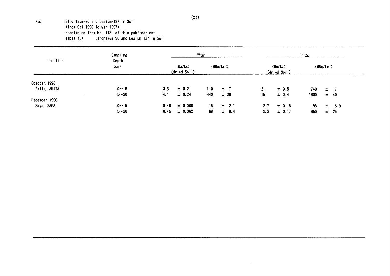(5) Strontium-90and Cesjun-137in Soil (from Oct. 1996 to Mar. 1997) -COntinued from No.118 0f this publication- Table (5) Strontium-90 and Cesium-137 in Soil

| Location       | Sampling<br>Depth<br>(cm) | $90$ Sr                 |             |          |           | <sup>137</sup> Cs       |            |          |          |          |
|----------------|---------------------------|-------------------------|-------------|----------|-----------|-------------------------|------------|----------|----------|----------|
|                |                           | (Bq/kg)<br>(dried Soil) |             | (MBq/km) |           | (Bq/kg)<br>(dried Soil) |            | (MBq/km) |          |          |
| October, 1996  |                           |                         |             |          |           |                         |            |          |          |          |
| Akita, AKITA   | $0 - 5$                   | 3.3                     | $\pm 0.21$  | 110      | $\pm$ 7   | 21                      | $\pm$ 0.5  | 740.     | $\pm$ 17 |          |
|                | $5 - 20$                  | 4.1                     | $\pm 0.24$  | 440      | ± 26      | 15                      | $\pm$ 0.4  | 1600     |          | $\pm$ 40 |
| December, 1996 |                           |                         |             |          |           |                         |            |          |          |          |
| Saga, SAGA     | $0 - 5$                   | 0.48                    | $\pm$ 0.066 | 15       | $\pm$ 2.1 | 2.7                     | $\pm$ 0.18 | 88       | $\pm$    | 5.9      |
|                | $5 - 20$                  | 0.45                    | $\pm$ 0.062 | 68       | $\pm$ 9.4 | 2.3                     | $\pm$ 0.17 | 350      | 士。       | 25       |

 $\sim 10^{-1}$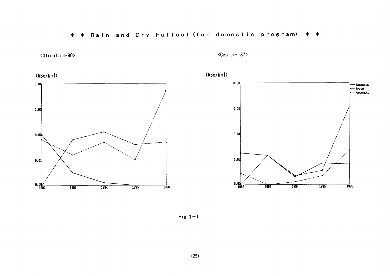\* \* Rain and Dry Fallout (for domestic program) \* \*

 $\mathcal{L}^{\text{max}}_{\text{max}}$  and  $\mathcal{L}^{\text{max}}_{\text{max}}$ 



<Cesium-137>

 $(MBq/km^2)$ 







Fig.  $1-1$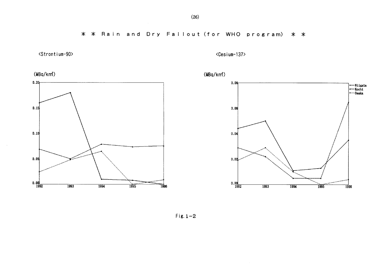\* \* Rain and Dry Fallout (for WHO program) \* \*









Fig.  $1-2$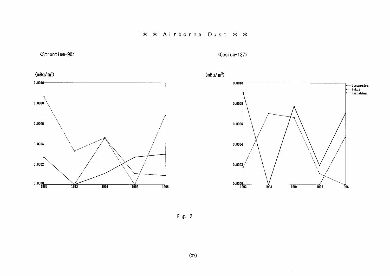







Fig. 2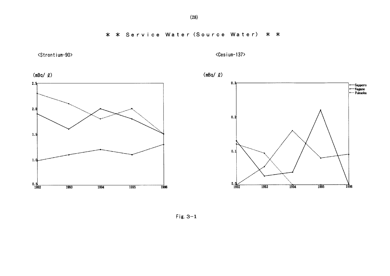

<Cesium-137>









Fig.  $3-1$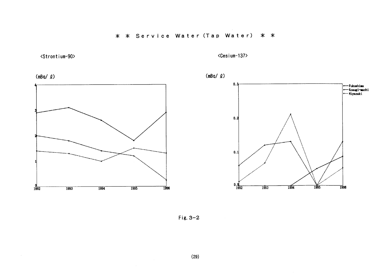\* \* Service Water (Tap Water) \* \*











Fig.  $3-2$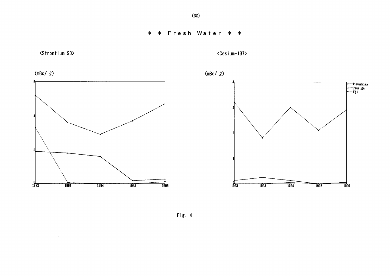

 $\sim$ 

<Cesium-137>

 $\sim 10^{-1}$ 









Fig. 4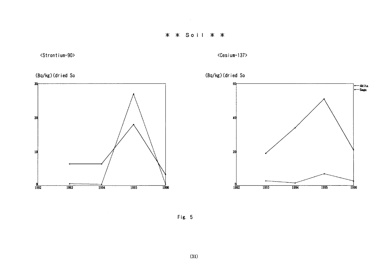## \* \* Soil \* \*

 $\mathcal{L}^{\mathcal{L}}(\mathcal{L}^{\mathcal{L}})$  . Let











Fig. 5